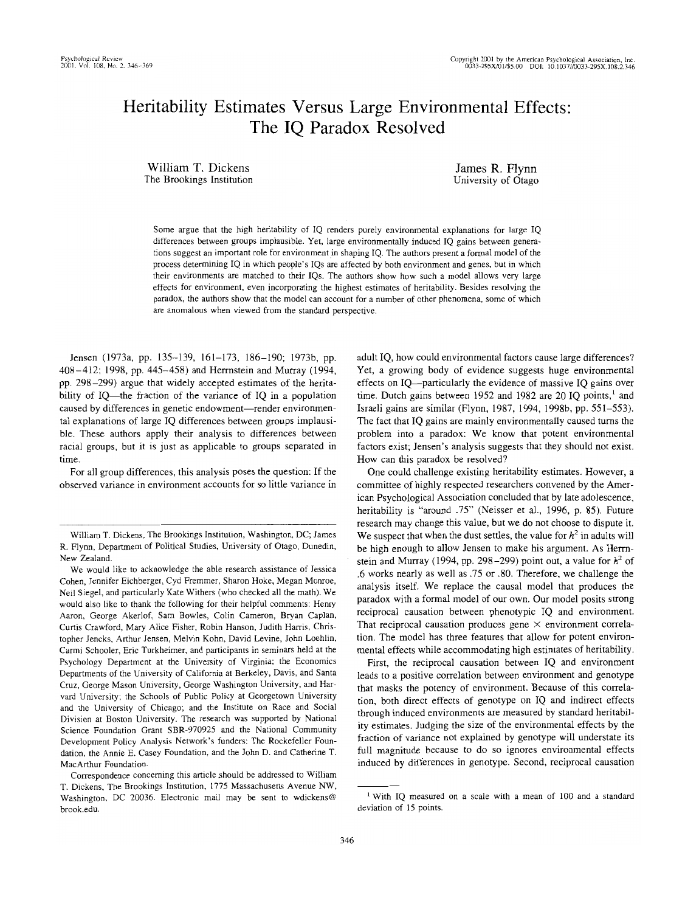# Heritability Estimates Versus Large Environmental Effects: The IQ Paradox Resolved

William T. Dickens The Brookings Institution

James R. Flynn University of Otago

Some argue that the high heritability of IQ renders purely environmental explanations for large IQ differences between groups implausible. Yet, large environmentally induced IQ gains between generations suggest an important role for environment in shaping IQ. The authors present a formal model of the process determining IQ in which people's IQs are affected by both environment and genes, but in which their environments are matched to their IQs. The authors show how such a model allows very large effects for environment, even incorporating the highest estimates of heritability. Besides resolving the paradox, the authors show that the model can account for a number of other phenomena, some of which are anomalous when viewed from the standard perspective.

Jensen (1973a, pp. 135-139, 161-173, 186-190; 1973b, pp. 408-412; 1998, pp. 445-458) and Herrnstein and Murray (1994, pp. 298-299) argue that widely accepted estimates of the heritability of IQ—the fraction of the variance of IQ in a population caused by differences in genetic endowment—render environmental explanations of large IQ differences between groups implausible. These authors apply their analysis to differences between racial groups, but it is just as applicable to groups separated in time.

For all group differences, this analysis poses the question: If the observed variance in environment accounts for so little variance in adult IQ, how could environmental factors cause large differences? Yet, a growing body of evidence suggests huge environmental effects on IQ—particularly the evidence of massive IQ gains over time. Dutch gains between 1952 and 1982 are 20 IQ points, $<sup>1</sup>$  and</sup> Israeli gains are similar (Flynn, 1987, 1994, 1998b, pp. 551-553). The fact that IQ gains are mainly environmentally caused turns the problem into a paradox: We know that potent environmental factors exist; Jensen's analysis suggests that they should not exist. How can this paradox be resolved?

One could challenge existing heritability estimates. However, a committee of highly respected researchers convened by the American Psychological Association concluded that by late adolescence, heritability is "around .75" (Neisser et al, 1996, p. 85). Future research may change this value, but we do not choose to dispute it. We suspect that when the dust settles, the value for  $h^2$  in adults will be high enough to allow Jensen to make his argument. As Herrnstein and Murray (1994, pp. 298–299) point out, a value for  $h^2$  of .6 works nearly as well as .75 or .80. Therefore, we challenge the analysis itself. We replace the causal model that produces the paradox with a formal model of our own. Our model posits strong reciprocal causation between phenotypic IQ and environment. That reciprocal causation produces gene  $\times$  environment correlation. The model has three features that allow for potent environmental effects while accommodating high estimates of heritability.

First, the reciprocal causation between IQ and environment leads to a positive correlation between environment and genotype that masks the potency of environment. Because of this correlation, both direct effects of genotype on IQ and indirect effects through induced environments are measured by standard heritability estimates. Judging the size of the environmental effects by the fraction of variance not explained by genotype will understate its full magnitude because to do so ignores environmental effects induced by differences in genotype. Second, reciprocal causation

William T. Dickens, The Brookings Institution, Washington, DC; James R. Flynn, Department of Political Studies, University of Otago, Dunedin, New Zealand.

We would like to acknowledge the able research assistance of Jessica Cohen, Jennifer Eichberger, Cyd Fremmer, Sharon Hoke, Megan Monroe, Neil Siegel, and particularly Kate Withers (who checked all the math). We would also like to thank the following for their helpful comments: Henry Aaron, George Akerlof, Sam Bowles, Colin Cameron, Bryan Caplan, Curtis Crawford, Mary Alice Fisher, Robin Hanson, Judith Harris, Christopher Jencks, Arthur Jensen, Melvin Kohn, David Levine, John Loehlin, Carmi Schooler, Eric Turkheimer, and participants in seminars held at the Psychology Department at the University of Virginia; the Economics Departments of the University of California at Berkeley, Davis, and Santa Cruz, George Mason University, George Washington University, and Harvard University; the Schools of Public Policy at Georgetown University and the University of Chicago; and the Institute on Race and Social Division at Boston University. The research was supported by National Science Foundation Grant SBR-970925 and the National Community Development Policy Analysis Network's funders: The Rockefeller Foundation, the Annie E. Casey Foundation, and the John D. and Catherine T. MacArthur Foundation.

Correspondence concerning this article should be addressed to William T. Dickens, The Brookings Institution, 1775 Massachusetts Avenue NW, Washington, DC 20036. Electronic mail may be sent to wdickens@ brook.edu.

<sup>&</sup>lt;sup>1</sup> With IQ measured on a scale with a mean of 100 and a standard deviation of 15 points.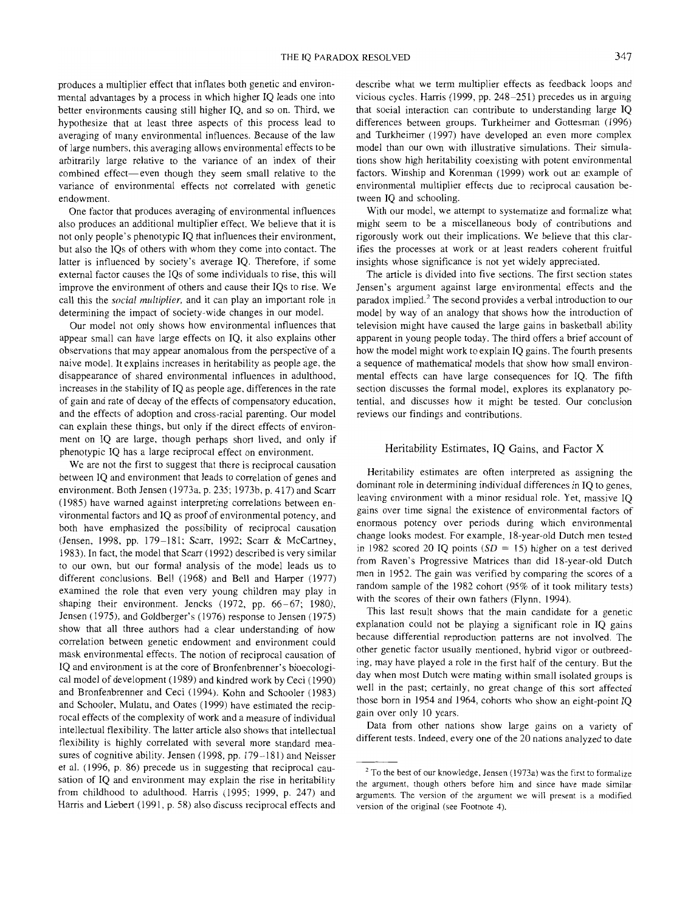produces a multiplier effect that inflates both genetic and environmental advantages by a process in which higher IQ leads one into better environments causing still higher IQ, and so on. Third, we hypothesize that at least three aspects of this process lead to averaging of many environmental influences. Because of the law of large numbers, this averaging allows environmental effects to be arbitrarily large relative to the variance of an index of their combined effect—even though they seem small relative to the variance of environmental effects not correlated with genetic endowment.

One factor that produces averaging of environmental influences also produces an additional multiplier effect. We believe that it is not only people's phenotypic IQ that influences their environment, but also the IQs of others with whom they come into contact. The latter is influenced by society's average IQ. Therefore, if some external factor causes the IQs of some individuals to rise, this will improve the environment of others and cause their IQs to rise. We call this the *social multiplier,* and it can play an important role in determining the impact of society-wide changes in our model.

Our model not only shows how environmental influences that appear small can have large effects on IQ, it also explains other observations that may appear anomalous from the perspective of a naive model. It explains increases in heritability as people age, the disappearance of shared environmental influences in adulthood, increases in the stability of IQ as people age, differences in the rate of gain and rate of decay of the effects of compensatory education, and the effects of adoption and cross-racial parenting. Our model can explain these things, but only if the direct effects of environment on IQ are large, though perhaps short lived, and only if phenotypic IQ has a large reciprocal effect on environment.

We are not the first to suggest that there is reciprocal causation between IQ and environment that leads to correlation of genes and environment. Both Jensen (I973a, p. 235; 1973b, p. 417) and Scarr (1985) have warned against interpreting correlations between environmental factors and IQ as proof of environmental potency, and both have emphasized the possibility of reciprocal causation (Jensen, 1998, pp. 179-181; Scarr, 1992; Scarr & McCartney, 1983). In fact, the model that Scarr (1992) described is very similar to our own, but our formal analysis of the model leads us to different conclusions. Bell (1968) and Bell and Harper (1977) examined the role that even very young children may play in shaping their environment. Jencks (1972, pp. 66-67; 1980), Jensen (1975), and Goldberger's (1976) response to Jensen (1975) show that all three authors had a clear understanding of how correlation between genetic endowment and environment could mask environmental effects. The notion of reciprocal causation of IQ and environment is at the core of Bronfenbrenner's bioecological model of development (1989) and kindred work by Ceci (1990) and Bronfenbrenner and Ceci (1994). Kohn and Schooler (1983) and Schooler, Mulatu, and Gates (1999) have estimated the reciprocal effects of the complexity of work and a measure of individual intellectual flexibility. The latter article also shows that intellectual flexibility is highly correlated with several more standard measures of cognitive ability. Jensen (1998, pp. 179-181) and Neisser et al. (1996, p. 86) precede us in suggesting that reciprocal causation of IQ and environment may explain the rise in heritability from childhood to adulthood. Harris (1995; 1999, p. 247) and Harris and Liebert (1991, p. 58) also discuss reciprocal effects and describe what we term multiplier effects as feedback loops and vicious cycles. Harris (1999, pp. 248-251) precedes us in arguing that social interaction can contribute to understanding large IQ differences between groups. Turkheimer and Gottesman (1996) and Turkheimer (1997) have developed an even more complex model than our own with illustrative simulations. Their simulations show high heritability coexisting with potent environmental factors. Winship and Korenman (1999) work out an example of environmental multiplier effects due to reciprocal causation between IQ and schooling.

With our model, we attempt to systematize and formalize what might seem to be a miscellaneous body of contributions and rigorously work out their implications. We believe that this clarifies the processes at work or at least renders coherent fruitful insights whose significance is not yet widely appreciated.

The article is divided into five sections. The first section states Jensen's argument against large environmental effects and the paradox implied.<sup>2</sup> The second provides a verbal introduction to our model by way of an analogy that shows how the introduction of television might have caused the large gains in basketball ability apparent in young people today. The third offers a brief account of how the model might work to explain IQ gains. The fourth presents a sequence of mathematical models that show how small environmental effects can have large consequences for IQ. The fifth section discusses the formal model, explores its explanatory potential, and discusses how it might be tested. Our conclusion reviews our findings and contributions.

#### Heritability Estimates, IQ Gains, and Factor X

Heritability estimates are often interpreted as assigning the dominant role in determining individual differences in IQ to genes, leaving environment with a minor residual role. Yet, massive IQ gains over time signal the existence of environmental factors of enormous potency over periods during which environmental change looks modest. For example, 18-year-old Dutch men tested in 1982 scored 20 IQ points  $(SD = 15)$  higher on a test derived from Raven's Progressive Matrices than did 18-year-old Dutch men in 1952. The gain was verified by comparing the scores of a random sample of the 1982 cohort (95% of it took military tests) with the scores of their own fathers (Flynn, 1994).

This last result shows that the main candidate for a genetic explanation could not be playing a significant role in IQ gains because differential reproduction patterns are not involved. The other genetic factor usually mentioned, hybrid vigor or outbreeding, may have played a role in the first half of the century. But the day when most Dutch were mating within small isolated groups is well in the past; certainly, no great change of this sort affected those born in 1954 and 1964, cohorts who show an eight-point IQ gain over only 10 years.

Data from other nations show large gains on a variety of different tests. Indeed, every one of the 20 nations analyzed to date

To the best of our knowledge, Jensen  $(1973a)$  was the first to formalize the argument, though others before him and since have made similar arguments. The version of the argument we will present is a modified version of the original (see Footnote 4).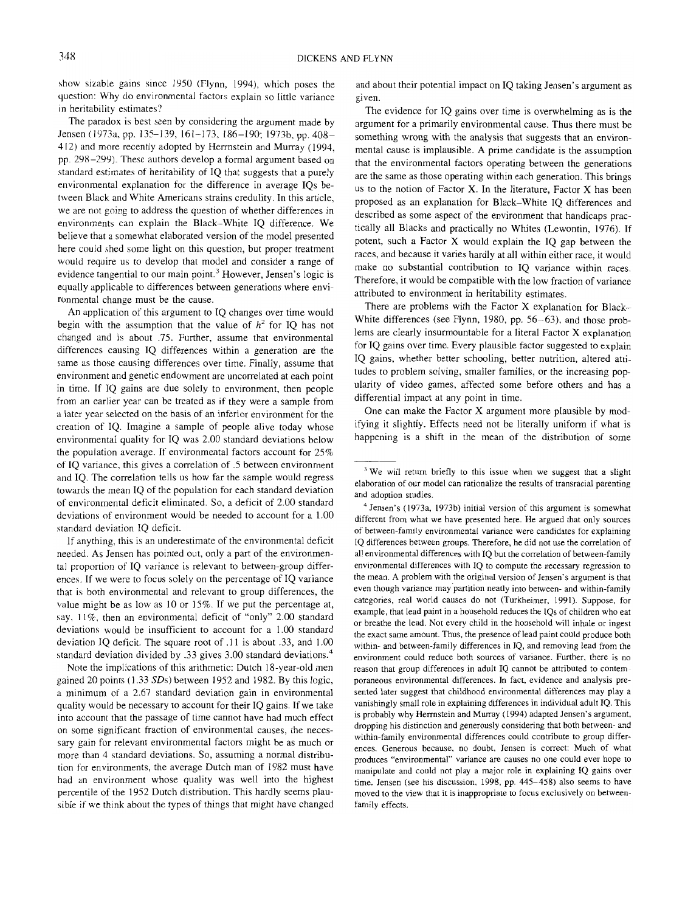show sizable gains since 1950 (Flynn, 1994), which poses the question: Why do environmental factors explain so little variance in heritability estimates?

The paradox is best seen by considering the argument made by Jensen (1973a, pp. 135-139, 161-173, 186-190; 1973b, pp. 408- 412) and more recently adopted by Herrnstein and Murray (1994, pp. 298-299). These authors develop a formal argument based on standard estimates of heritability of IQ that suggests that a purely environmental explanation for the difference in average IQs between Black and White Americans strains credulity. In this article, we are not going to address the question of whether differences in environments can explain the Black-White IQ difference. We believe that a somewhat elaborated version of the model presented here could shed some light on this question, but proper treatment would require us to develop that model and consider a range of evidence tangential to our main point.<sup>3</sup> However, Jensen's logic is equally applicable to differences between generations where environmental change must be the cause.

An application of this argument to IQ changes over time would begin with the assumption that the value of *h<sup>2</sup>* for IQ has not changed and is about .75. Further, assume that environmental differences causing IQ differences within a generation are the same as those causing differences over time. Finally, assume that environment and genetic endowment are uncorrelated at each point in time. If IQ gains are due solely to environment, then people from an earlier year can be treated as if they were a sample from a later year selected on the basis of an inferior environment for the creation of IQ. Imagine a sample of people alive today whose environmental quality for IQ was 2.00 standard deviations below the population average. If environmental factors account for 25% of IQ variance, this gives a correlation of .5 between environment and IQ. The correlation tells us how far the sample would regress towards the mean IQ of the population for each standard deviation of environmental deficit eliminated. So, a deficit of 2.00 standard deviations of environment would be needed to account for a 1.00 standard deviation IQ deficit.

If anything, this is an underestimate of the environmental deficit needed. As Jensen has pointed out, only a part of the environmental proportion of IQ variance is relevant to between-group differences. If we were to focus solely on the percentage of IQ variance that is both environmental and relevant to group differences, the value might be as low as 10 or 15%. If we put the percentage at, say, 11%, then an environmental deficit of "only" 2.00 standard deviations would be insufficient to account for a 1.00 standard deviation IQ deficit. The square root of .11 is about .33, and 1.00 standard deviation divided by .33 gives 3.00 standard deviations.<sup>4</sup>

Note the implications of this arithmetic: Dutch 18-year-old men gained 20 points (1.33 *SDs)* between 1952 and 1982. By this logic, a minimum of a 2.67 standard deviation gain in environmental quality would be necessary to account for their IQ gains. If we take into account that the passage of time cannot have had much effect on some significant fraction of environmental causes, the necessary gain for relevant environmental factors might be as much or more than 4 standard deviations. So, assuming a normal distribution for environments, the average Dutch man of 1982 must have had an environment whose quality was well into the highest percentile of the 1952 Dutch distribution. This hardly seems plausible if we think about the types of things that might have changed

and about their potential impact on IQ taking Jensen's argument as given.

The evidence for IQ gains over time is overwhelming as is the argument for a primarily environmental cause. Thus there must be something wrong with the analysis that suggests that an environmental cause is implausible. A prime candidate is the assumption that the environmental factors operating between the generations are the same as those operating within each generation. This brings us to the notion of Factor X. In the literature, Factor X has been proposed as an explanation for Black-White IQ differences and described as some aspect of the environment that handicaps practically all Blacks and practically no Whites (Lewontin, 1976). If potent, such a Factor X would explain the IQ gap between the races, and because it varies hardly at all within either race, it would make no substantial contribution to IQ variance within races. Therefore, it would be compatible with the low fraction of variance attributed to environment in heritability estimates.

There are problems with the Factor  $X$  explanation for Black-White differences (see Flynn, 1980, pp. 56–63), and those problems are clearly insurmountable for a literal Factor X explanation for IQ gains over time. Every plausible factor suggested to explain IQ gains, whether better schooling, better nutrition, altered attitudes to problem solving, smaller families, or the increasing popularity of video games, affected some before others and has a differential impact at any point in time.

One can make the Factor X argument more plausible by modifying it slightly. Effects need not be literally uniform if what is happening is a shift in the mean of the distribution of some

4 Jensen's (1973a, 1973b) initial version of this argument is somewhat different from what we have presented here. He argued that only sources of between-family environmental variance were candidates for explaining IQ differences between groups. Therefore, he did not use the correlation of all environmental differences with IQ but the correlation of between-family environmental differences with IQ to compute the necessary regression to the mean. A problem with the original version of Jensen's argument is that even though variance may partition neatly into between- and within-family categories, real world causes do not (Turkheimer, 1991). Suppose, for example, that lead paint in a household reduces the IQs of children who eat or breathe the lead. Not every child in the household will inhale or ingest the exact same amount. Thus, the presence of lead paint could produce both within- and between-family differences in IQ, and removing lead from the environment could reduce both sources of variance. Further, there is no reason that group differences in adult IQ cannot be attributed to contemporaneous environmental differences. In fact, evidence and analysis presented later suggest that childhood environmental differences may play a vanishingly small role in explaining differences in individual adult IQ. This is probably why Herrnstein and Murray (1994) adapted Jensen's argument, dropping his distinction and generously considering that both between- and within-family environmental differences could contribute to group differences. Generous because, no doubt, Jensen is correct: Much of what produces "environmental" variance are causes no one could ever hope to manipulate and could not play a major role in explaining IQ gains over time. Jensen (see his discussion, 1998, pp. 445-458) also seems to have moved to the view that it is inappropriate to focus exclusively on betweenfamily effects.

<sup>&</sup>lt;sup>3</sup> We will return briefly to this issue when we suggest that a slight elaboration of our model can rationalize the results of transracial parenting and adoption studies.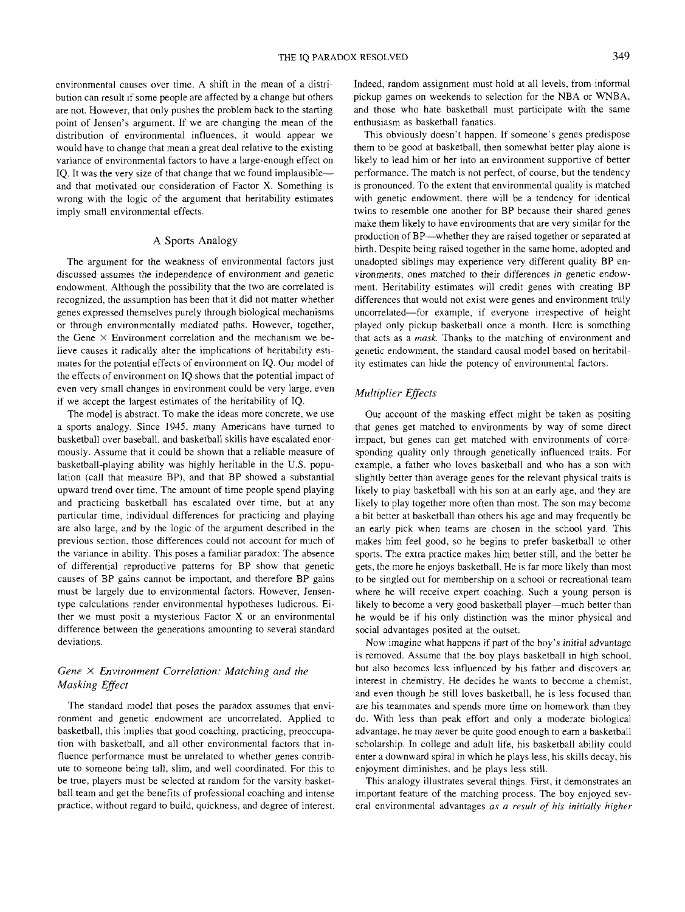environmental causes over time. A shift in the mean of a distribution can result if some people are affected by a change but others are not. However, that only pushes the problem back to the starting point of Jensen's argument. If we are changing the mean of the distribution of environmental influences, it would appear we would have to change that mean a great deal relative to the existing variance of environmental factors to have a large-enough effect on IQ. It was the very size of that change that we found implausible and that motivated our consideration of Factor X. Something is wrong with the logic of the argument that heritability estimates imply small environmental effects.

### A Sports Analogy

The argument for the weakness of environmental factors just discussed assumes the independence of environment and genetic endowment. Although the possibility that the two are correlated is recognized, the assumption has been that it did not matter whether genes expressed themselves purely through biological mechanisms or through environmentally mediated paths. However, together, the Gene  $\times$  Environment correlation and the mechanism we believe causes it radically alter the implications of heritability estimates for the potential effects of environment on IQ. Our model of the effects of environment on IQ shows that the potential impact of even very small changes in environment could be very large, even if we accept the largest estimates of the heritability of IQ.

The model is abstract. To make the ideas more concrete, we use a sports analogy. Since 1945, many Americans have turned to basketball over baseball, and basketball skills have escalated enormously. Assume that it could be shown that a reliable measure of basketball-playing ability was highly heritable in the U.S. population (call that measure BP), and that BP showed a substantial upward trend over time. The amount of time people spend playing and practicing basketball has escalated over time, but at any particular time, individual differences for practicing and playing are also large, and by the logic of the argument described in the previous section, those differences could not account for much of the variance in ability. This poses a familiar paradox: The absence of differential reproductive patterns for BP show that genetic causes of BP gains cannot be important, and therefore BP gains must be largely due to environmental factors. However, Jensentype calculations render environmental hypotheses ludicrous. Either we must posit a mysterious Factor  $X$  or an environmental difference between the generations amounting to several standard deviations.

# *Gene X Environment Correlation: Matching and the Masking Effect*

The standard model that poses the paradox assumes that environment and genetic endowment are uncorrelated. Applied to basketball, this implies that good coaching, practicing, preoccupation with basketball, and all other environmental factors that influence performance must be unrelated to whether genes contribute to someone being tall, slim, and well coordinated. For this to be true, players must be selected at random for the varsity basketball team and get the benefits of professional coaching and intense practice, without regard to build, quickness, and degree of interest. Indeed, random assignment must hold at all levels, from informal pickup games on weekends to selection for the NBA or WNBA, and those who hate basketball must participate with the same enthusiasm as basketball fanatics.

This obviously doesn't happen. If someone's genes predispose them to be good at basketball, then somewhat better play alone is likely to lead him or her into an environment supportive of better performance. The match is not perfect, of course, but the tendency is pronounced. To the extent that environmental quality is matched with genetic endowment, there will be a tendency for identical twins to resemble one another for BP because their shared genes make them likely to have environments that are very similar for the production of BP—whether they are raised together or separated at birth. Despite being raised together in the same home, adopted and unadopted siblings may experience very different quality BP environments, ones matched to their differences in genetic endowment. Heritability estimates will credit genes with creating BP differences that would not exist were genes and environment truly uncorrelated—for example, if everyone irrespective of height played only pickup basketball once a month. Here is something that acts as a *mask.* Thanks to the matching of environment and genetic endowment, the standard causal model based on heritability estimates can hide the potency of environmental factors.

# *Multiplier Effects*

Our account of the masking effect might be taken as positing that genes get matched to environments by way of some direct impact, but genes can get matched with environments of corresponding quality only through genetically influenced traits. For example, a father who loves basketball and who has a son with slightly better than average genes for the relevant physical traits is likely to play basketball with his son at an early age, and they are likely to play together more often than most. The son may become a bit better at basketball than others his age and may frequently be an early pick when teams are chosen in the school yard. This makes him feel good, so he begins to prefer basketball to other sports. The extra practice makes him better still, and the better he gets, the more he enjoys basketball. He is far more likely than most to be singled out for membership on a school or recreational team where he will receive expert coaching. Such a young person is likely to become a very good basketball player—much better than he would be if his only distinction was the minor physical and social advantages posited at the outset.

Now imagine what happens if part of the boy's initial advantage is removed. Assume that the boy plays basketball in high school, but also becomes less influenced by his father and discovers an interest in chemistry. He decides he wants to become a chemist, and even though he still loves basketball, he is less focused than are his teammates and spends more time on homework than they do. With less than peak effort and only a moderate biological advantage, he may never be quite good enough to earn a basketball scholarship. In college and adult life, his basketball ability could enter a downward spiral in which he plays less, his skills decay, his enjoyment diminishes, and he plays less still.

This analogy illustrates several things. First, it demonstrates an important feature of the matching process. The boy enjoyed several environmental advantages *as a result of his initially higher*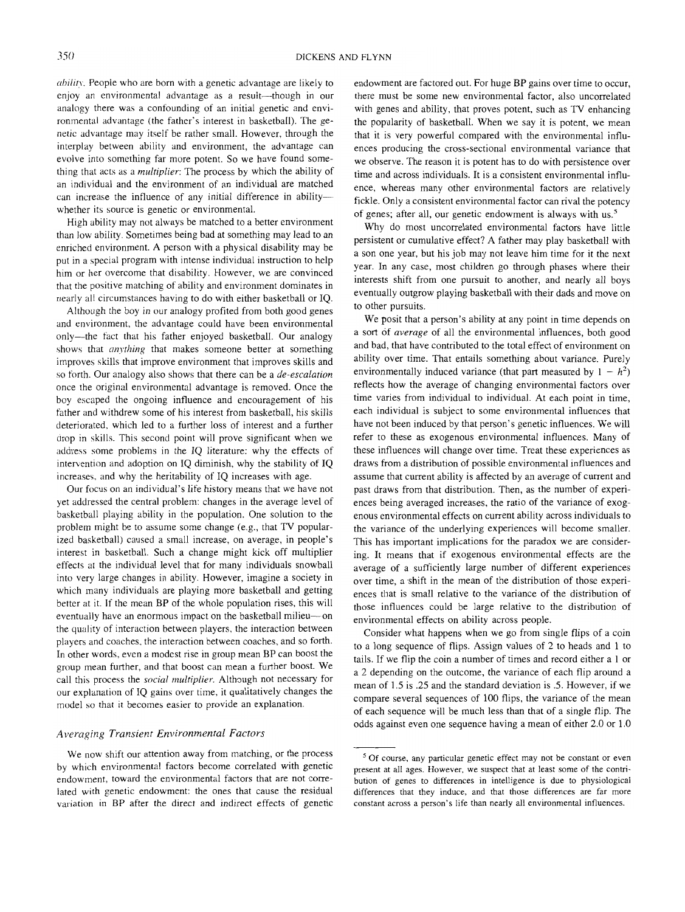*ability.* People who are born with a genetic advantage are likely to enjoy an environmental advantage as a result—though in our analogy there was a confounding of an initial genetic and environmental advantage (the father's interest in basketball). The genetic advantage may itself be rather small. However, through the interplay between ability and environment, the advantage can evolve into something far more potent. So we have found something that acts as a *multiplier:* The process by which the ability of an individual and the environment of an individual are matched can increase the influence of any initial difference in ability whether its source is genetic or environmental.

High ability may not always be matched to a better environment than low ability. Sometimes being bad at something may lead to an enriched environment. A person with a physical disability may be put in a special program with intense individual instruction to help him or her overcome that disability. However, we are convinced that the positive matching of ability and environment dominates in nearly all circumstances having to do with either basketball or IQ.

Although the boy in our analogy profited from both good genes and environment, the advantage could have been environmental only—the fact that his father enjoyed basketball. Our analogy shows that *anything* that makes someone better at something improves skills that improve environment that improves skills and so forth. Our analogy also shows that there can be a *de-escalation* once the original environmental advantage is removed. Once the boy escaped the ongoing influence and encouragement of his father and withdrew some of his interest from basketball, his skills deteriorated, which led to a further loss of interest and a further drop in skills. This second point will prove significant when we address some problems in the IQ literature: why the effects of intervention and adoption on IQ diminish, why the stability of IQ increases, and why the heritability of IQ increases with age.

Our focus on an individual's life history means that we have not yet addressed the central problem: changes in the average level of basketball playing ability in the population. One solution to the problem might be to assume some change (e.g., that TV popularized basketball) caused a small increase, on average, in people's interest in basketball. Such a change might kick off multiplier effects at the individual level that for many individuals snowball into very large changes in ability. However, imagine a society in which many individuals are playing more basketball and getting better at it. If the mean BP of the whole population rises, this will eventually have an enormous impact on the basketball milieu—on the quality of interaction between players, the interaction between players and coaches, the interaction between coaches, and so forth. In other words, even a modest rise in group mean BP can boost the group mean further, and that boost can mean a further boost. We call this process the *social multiplier.* Although not necessary for our explanation of IQ gains over time, it qualitatively changes the model so that it becomes easier to provide an explanation.

### *Averaging Transient Environmental Factors*

We now shift our attention away from matching, or the process by which environmental factors become correlated with genetic endowment, toward the environmental factors that are not correlated with genetic endowment: the ones that cause the residual variation in BP after the direct and indirect effects of genetic endowment are factored out. For huge BP gains over time to occur, there must be some new environmental factor, also uncorrelated with genes and ability, that proves potent, such as TV enhancing the popularity of basketball. When we say it is potent, we mean that it is very powerful compared with the environmental influences producing the cross-sectional environmental variance that we observe. The reason it is potent has to do with persistence over time and across individuals. It is a consistent environmental influence, whereas many other environmental factors are relatively fickle. Only a consistent environmental factor can rival the potency of genes; after all, our genetic endowment is always with us.<sup>5</sup>

Why do most uncorrelated environmental factors have little persistent or cumulative effect? A father may play basketball with a son one year, but his job may not leave him time for it the next year. In any case, most children go through phases where their interests shift from one pursuit to another, and nearly all boys eventually outgrow playing basketball with their dads and move on to other pursuits.

We posit that a person's ability at any point in time depends on a sort of *average* of all the environmental influences, both good and bad, that have contributed to the total effect of environment on ability over time. That entails something about variance. Purely environmentally induced variance (that part measured by  $1 - h^2$ ) reflects how the average of changing environmental factors over time varies from individual to individual. At each point in time, each individual is subject to some environmental influences that have not been induced by that person's genetic influences. We will refer to these as exogenous environmental influences. Many of these influences will change over time. Treat these experiences as draws from a distribution of possible environmental influences and assume that current ability is affected by an average of current and past draws from that distribution. Then, as the number of experiences being averaged increases, the ratio of the variance of exogenous environmental effects on current ability across individuals to the variance of the underlying experiences will become smaller. This has important implications for the paradox we are considering. It means that if exogenous environmental effects are the average of a sufficiently large number of different experiences over time, a shift in the mean of the distribution of those experiences that is small relative to the variance of the distribution of those influences could be large relative to the distribution of environmental effects on ability across people.

Consider what happens when we go from single flips of a coin to a long sequence of flips. Assign values of 2 to heads and 1 to tails. If we flip the coin a number of times and record either a 1 or a 2 depending on the outcome, the variance of each flip around a mean of 1.5 is .25 and the standard deviation is .5. However, if we compare several sequences of 100 flips, the variance of the mean of each sequence will be much less than that of a single flip. The odds against even one sequence having a mean of either 2.0 or 1.0

<sup>&</sup>lt;sup>5</sup> Of course, any particular genetic effect may not be constant or even present at all ages. However, we suspect that at least some of the contribution of genes to differences in intelligence is due to physiological differences that they induce, and that those differences are far more constant across a person's life than nearly all environmental influences.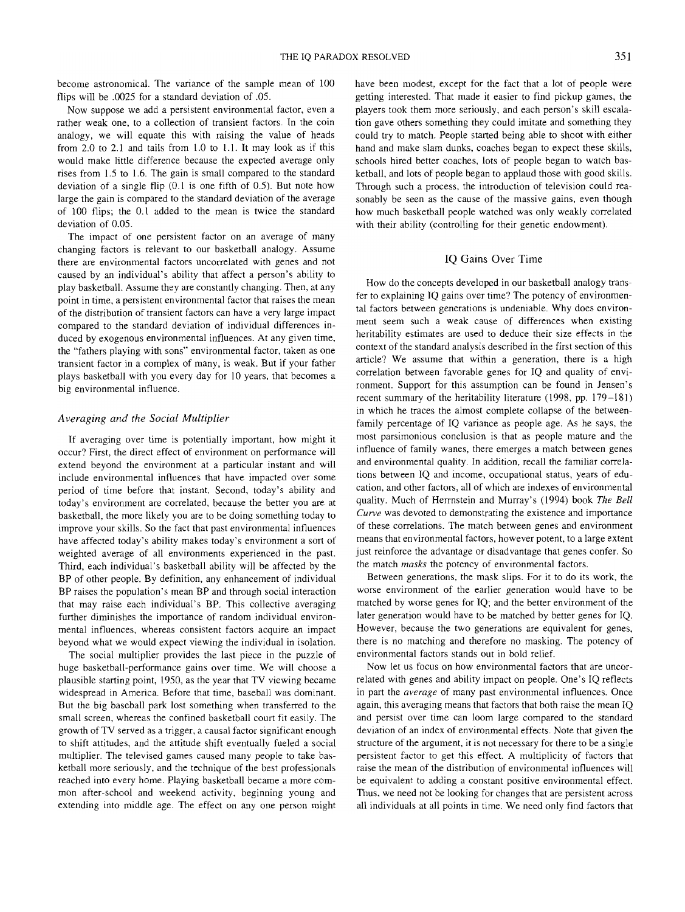become astronomical. The variance of the sample mean of 100 flips will be .0025 for a standard deviation of .05.

Now suppose we add a persistent environmental factor, even a rather weak one, to a collection of transient factors. In the coin analogy, we will equate this with raising the value of heads from 2.0 to 2.1 and tails from 1.0 to LI. It may look as if this would make little difference because the expected average only rises from 1.5 to 1.6. The gain is small compared to the standard deviation of a single flip (0.1 is one fifth of 0.5). But note how large the gain is compared to the standard deviation of the average of 100 flips; the 0.1 added to the mean is twice the standard deviation of 0.05.

The impact of one persistent factor on an average of many changing factors is relevant to our basketball analogy. Assume there are environmental factors uncorrelated with genes and not caused by an individual's ability that affect a person's ability to play basketball. Assume they are constantly changing. Then, at any point in time, a persistent environmental factor that raises the mean of the distribution of transient factors can have a very large impact compared to the standard deviation of individual differences induced by exogenous environmental influences. At any given time, the "fathers playing with sons" environmental factor, taken as one transient factor in a complex of many, is weak. But if your father plays basketball with you every day for 10 years, that becomes a big environmental influence.

### *Averaging and the Social Multiplier*

If averaging over time is potentially important, how might it occur? First, the direct effect of environment on performance will extend beyond the environment at a particular instant and will include environmental influences that have impacted over some period of time before that instant. Second, today's ability and today's environment are correlated, because the better you are at basketball, the more likely you are to be doing something today to improve your skills. So the fact that past environmental influences have affected today's ability makes today's environment a sort of weighted average of all environments experienced in the past. Third, each individual's basketball ability will be affected by the BP of other people. By definition, any enhancement of individual BP raises the population's mean BP and through social interaction that may raise each individual's BP. This collective averaging further diminishes the importance of random individual environmental influences, whereas consistent factors acquire an impact beyond what we would expect viewing the individual in isolation.

The social multiplier provides the last piece in the puzzle of huge basketball-performance gains over time. We will choose a plausible starting point, 1950, as the year that TV viewing became widespread in America. Before that time, baseball was dominant. But the big baseball park lost something when transferred to the small screen, whereas the confined basketball court fit easily. The growth of TV served as a trigger, a causal factor significant enough to shift attitudes, and the attitude shift eventually fueled a social multiplier. The televised games caused many people to take basketball more seriously, and the technique of the best professionals reached into every home. Playing basketball became a more common after-school and weekend activity, beginning young and extending into middle age. The effect on any one person might

have been modest, except for the fact that a lot of people were getting interested. That made it easier to find pickup games, the players took them more seriously, and each person's skill escalation gave others something they could imitate and something they could try to match. People started being able to shoot with either hand and make slam dunks, coaches began to expect these skills, schools hired better coaches, lots of people began to watch basketball, and lots of people began to applaud those with good skills. Through such a process, the introduction of television could reasonably be seen as the cause of the massive gains, even though how much basketball people watched was only weakly correlated with their ability (controlling for their genetic endowment).

# IQ Gains Over Time

How do the concepts developed in our basketball analogy transfer to explaining IQ gains over time? The potency of environmental factors between generations is undeniable. Why does environment seem such a weak cause of differences when existing heritability estimates are used to deduce their size effects in the context of the standard analysis described in the first section of this article? We assume that within a generation, there is a high correlation between favorable genes for IQ and quality of environment. Support for this assumption can be found in Jensen's recent summary of the heritability literature (1998, pp. 179-181) in which he traces the almost complete collapse of the betweenfamily percentage of IQ variance as people age. As he says, the most parsimonious conclusion is that as people mature and the influence of family wanes, there emerges a match between genes and environmental quality. In addition, recall the familiar correlations between IQ and income, occupational status, years of education, and other factors, all of which are indexes of environmental quality. Much of Herrnstein and Murray's (1994) book *The Bell Curve* was devoted to demonstrating the existence and importance of these correlations. The match between genes and environment means that environmental factors, however potent, to a large extent just reinforce the advantage or disadvantage that genes confer. So the match *masks* the potency of environmental factors.

Between generations, the mask slips. For it to do its work, the worse environment of the earlier generation would have to be matched by worse genes for IQ; and the better environment of the later generation would have to be matched by better genes for IQ. However, because the two generations are equivalent for genes, there is no matching and therefore no masking. The potency of environmental factors stands out in bold relief.

Now let us focus on how environmental factors that are uncorrelated with genes and ability impact on people. One's IQ reflects in part the *average* of many past environmental influences. Once again, this averaging means that factors that both raise the mean IQ and persist over time can loom large compared to the standard deviation of an index of environmental effects. Note that given the structure of the argument, it is not necessary for there to be a single persistent factor to get this effect. A multiplicity of factors that raise the mean of the distribution of environmental influences will be equivalent to adding a constant positive environmental effect. Thus, we need not be looking for changes that are persistent across all individuals at all points in time. We need only find factors that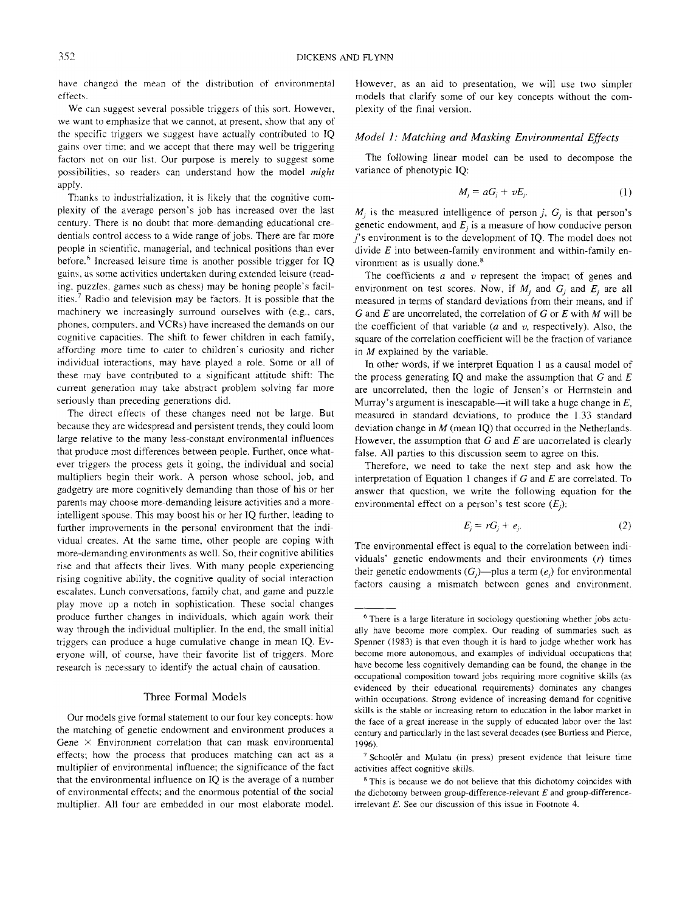have changed the mean of the distribution of environmental effects.

We can suggest several possible triggers of this sort. However, we want to emphasize that we cannot, at present, show that any of the specific triggers we suggest have actually contributed to IQ gains over time; and we accept that there may well be triggering factors not on our list. Our purpose is merely to suggest some possibilities, so readers can understand how the model *might* apply.

Thanks to industrialization, it is likely that the cognitive complexity of the average person's job has increased over the last century. There is no doubt that more-demanding educational credentials control access to a wide range of jobs. There are far more people in scientific, managerial, and technical positions than ever before.<sup>6</sup> Increased leisure time is another possible trigger for IQ gains, as some activities undertaken during extended leisure (reading, puzzles, games such as chess) may be honing people's facilities.<sup>7</sup> Radio and television may be factors. It is possible that the machinery we increasingly surround ourselves with (e.g., cars, phones, computers, and VCRs) have increased the demands on our cognitive capacities. The shift to fewer children in each family, affording more time to cater to children's curiosity and richer individual interactions, may have played a role. Some or all of these may have contributed to a significant attitude shift: The current generation may take abstract problem solving far more seriously than preceding generations did.

The direct effects of these changes need not be large. But because they are widespread and persistent trends, they could loom large relative to the many less-constant environmental influences that produce most differences between people. Further, once whatever triggers the process gets it going, the individual and social multipliers begin their work. A person whose school, job, and gadgetry are more cognitively demanding than those of his or her parents may choose more-demanding leisure activities and a moreintelligent spouse. This may boost his or her IQ further, leading to further improvements in the personal environment that the individual creates. At the same time, other people are coping with more-demanding environments as well. So, their cognitive abilities rise and that affects their lives. With many people experiencing rising cognitive ability, the cognitive quality of social interaction escalates. Lunch conversations, family chat, and game and puzzle play move up a notch in sophistication. These social changes produce further changes in individuals, which again work their way through the individual multiplier. In the end, the small initial triggers can produce a huge cumulative change in mean IQ. Everyone will, of course, have their favorite list of triggers. More research is necessary to identify the actual chain of causation.

### Three Formal Models

Our models give formal statement to our four key concepts: how the matching of genetic endowment and environment produces a Gene  $\times$  Environment correlation that can mask environmental effects; how the process that produces matching can act as a multiplier of environmental influence; the significance of the fact that the environmental influence on IQ is the average of a number of environmental effects; and the enormous potential of the social multiplier. All four are embedded in our most elaborate model.

However, as an aid to presentation, we will use two simpler models that clarify some of our key concepts without the complexity of the final version.

### *Model 1: Matching and Masking Environmental Effects*

The following linear model can be used to decompose the variance of phenotypic IQ:

$$
M_j = aG_j + vE_j. \tag{1}
$$

 $M_i$  is the measured intelligence of person *j*,  $G_i$  is that person's genetic endowment, and  $E_j$  is a measure of how conducive person *j's* environment is to the development of IQ. The model does not divide *E* into between-family environment and within-family environment as is usually done.<sup>8</sup>

The coefficients *a* and *v* represent the impact of genes and environment on test scores. Now, if  $M_i$  and  $G_i$  and  $E_i$  are all measured in terms of standard deviations from their means, and if *G* and *E* are uncorrelated, the correlation of *G* or *E* with *M* will be the coefficient of that variable *(a* and *v,* respectively). Also, the square of the correlation coefficient will be the fraction of variance in *M* explained by the variable.

In other words, if we interpret Equation 1 as a causal model of the process generating IQ and make the assumption that *G* and *E* are uncorrelated, then the logic of Jensen's or Herrnstein and Murray's argument is inescapable—it will take a huge change in *E,* measured in standard deviations, to produce the 1.33 standard deviation change in *M* (mean IQ) that occurred in the Netherlands. However, the assumption that *G* and *E* are uncorrelated is clearly false. All parties to this discussion seem to agree on this.

Therefore, we need to take the next step and ask how the interpretation of Equation 1 changes if *G* and *E* are correlated. To answer that question, we write the following equation for the environmental effect on a person's test score  $(E_i)$ :

$$
E_j = rG_j + e_j. \tag{2}
$$

The environmental effect is equal to the correlation between individuals' genetic endowments and their environments *(r)* times their genetic endowments  $(G<sub>i</sub>)$ —plus a term  $(e<sub>i</sub>)$  for environmental factors causing a mismatch between genes and environment.

<sup>&</sup>lt;sup>6</sup> There is a large literature in sociology questioning whether jobs actually have become more complex. Our reading of summaries such as Spenner (1983) is that even though it is hard to judge whether work has become more autonomous, and examples of individual occupations that have become less cognitively demanding can be found, the change in the occupational composition toward jobs requiring more cognitive skills (as evidenced by their educational requirements) dominates any changes within occupations. Strong evidence of increasing demand for cognitive skills is the stable or increasing return to education in the labor market in the face of a great increase in the supply of educated labor over the last century and particularly in the last several decades (see Burtless and Pierce, J996).

<sup>&</sup>lt;sup>7</sup> Schooler and Mulatu (in press) present evidence that leisure time activities affect cognitive skills.

<sup>&</sup>lt;sup>8</sup> This is because we do not believe that this dichotomy coincides with the dichotomy between group-difference-relevant *E* and group-differenceirrelevant *E.* See our discussion of this issue in Footnote 4.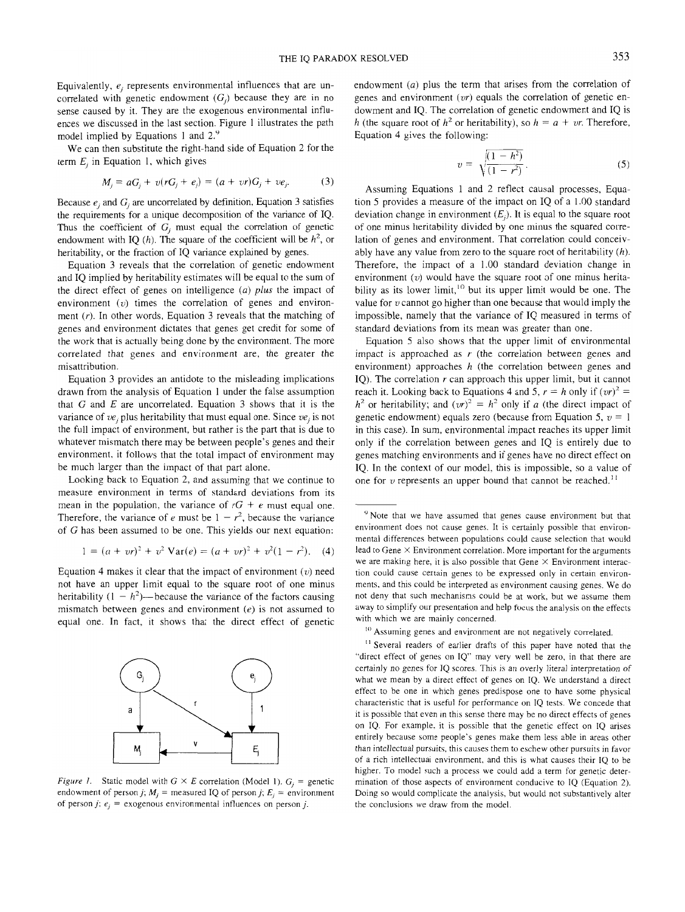Equivalently, *e}* represents environmental influences that are uncorrelated with genetic endowment  $(G_i)$  because they are in no sense caused by it. They are the exogenous environmental influences we discussed in the last section. Figure 1 illustrates the path model implied by Equations 1 and 2.9

We can then substitute the right-hand side of Equation 2 for the term  $E_i$ , in Equation 1, which gives

$$
M_j = aG_j + v(rG_j + e_j) = (a + vr)G_j + ve_j.
$$
 (3)

Because  $e_i$  and  $G_i$  are uncorrelated by definition, Equation 3 satisfies the requirements for a unique decomposition of the variance of IQ. Thus the coefficient of  $G_i$  must equal the correlation of genetic endowment with IQ  $(h)$ . The square of the coefficient will be  $h^2$ , or heritability, or the fraction of IQ variance explained by genes.

Equation 3 reveals that the correlation of genetic endowment and IQ implied by heritability estimates will be equal to the sum of the direct effect of genes on intelligence *(a) plus* the impact of environment *(v)* times the correlation of genes and environment *(r).* In other words, Equation 3 reveals that the matching of genes and environment dictates that genes get credit for some of the work that is actually being done by the environment. The more correlated that genes and environment are, the greater the misattribution.

Equation 3 provides an antidote to the misleading implications drawn from the analysis of Equation 1 under the false assumption that G and *E* are uncorrelated. Equation 3 shows that it is the variance of  $ve_i$  plus heritability that must equal one. Since  $ve_i$  is not the full impact of environment, but rather is the part that is due to whatever mismatch there may be between people's genes and their environment, it follows that the total impact of environment may be much larger than the impact of that part alone.

Looking back to Equation 2, and assuming that we continue to measure environment in terms of standard deviations from its mean in the population, the variance of *rG + e* must equal one. Therefore, the variance of *e* must be  $1 - r^2$ , because the variance of *G* has been assumed to be one. This yields our next equation:

$$
1 = (a + vr)2 + v2 Var(e) = (a + vr)2 + v2(1 - r2). (4)
$$

Equation 4 makes it clear that the impact of environment *(v)* need not have an upper limit equal to the square root of one minus heritability  $(1 - h^2)$ —because the variance of the factors causing mismatch between genes and environment *(e)* is not assumed to equal one. In fact, it shows that the direct effect of genetic



*Figure 1.* Static model with  $G \times E$  correlation (Model 1).  $G_i$  = genetic endowment of person *j*;  $M_i$  = measured IQ of person *j*;  $E_i$  = environment of person  $j$ ;  $e_j$  = exogenous environmental influences on person  $j$ .

endowment *(a)* plus the term that arises from the correlation of genes and environment *(vr)* equals the correlation of genetic endowment and IQ. The correlation of genetic endowment and IQ is *h* (the square root of  $h^2$  or heritability), so  $h = a + vr$ . Therefore, Equation 4 gives the following:

$$
v = \sqrt{\frac{(1 - h^2)}{(1 - r^2)}}.
$$
 (5)

Assuming Equations 1 and 2 reflect causal processes, Equation 5 provides a measure of the impact on IQ of a 1.00 standard deviation change in environment  $(E_i)$ . It is equal to the square root of one minus heritability divided by one minus the squared correlation of genes and environment. That correlation could conceivably have any value from zero to the square root of heritability *(h).* Therefore, the impact of a 1.00 standard deviation change in environment *(v)* would have the square root of one minus heritability as its lower limit,<sup>10</sup> but its upper limit would be one. The value for *v* cannot go higher than one because that would imply the impossible, namely that the variance of IQ measured in terms of standard deviations from its mean was greater than one.

Equation 5 also shows that the upper limit of environmental impact is approached as *r* (the correlation between genes and environment) approaches *h* (the correlation between genes and IQ). The correlation *r* can approach this upper limit, but it cannot reach it. Looking back to Equations 4 and 5,  $r = h$  only if  $(vr)^2 =$  $h^2$  or heritability; and  $(vr)^2 = h^2$  only if *a* (the direct impact of genetic endowment) equals zero (because from Equation 5,  $v = 1$ in this case). In sum, environmental impact reaches its upper limit only if the correlation between genes and IQ is entirely due to genes matching environments and if genes have no direct effect on IQ. In the context of our model, this is impossible, so a value of one for  $v$  represents an upper bound that cannot be reached.<sup>11</sup>

<sup>9</sup> Note that we have assumed that genes cause environment but that environment does not cause genes. It is certainly possible that environmental differences between populations could cause selection that would lead to Gene  $\times$  Environment correlation. More important for the arguments we are making here, it is also possible that Gene  $\times$  Environment interaction could cause certain genes to be expressed only in certain environments, and this could be interpreted as environment causing genes. We do not deny that such mechanisms could be at work, but we assume them away to simplify our presentation and help focus the analysis on the effects with which we are mainly concerned.

<sup>10</sup> Assuming genes and environment are not negatively correlated.

<sup>11</sup> Several readers of earlier drafts of this paper have noted that the "direct effect of genes on IQ" may very well be zero, in that there are certainly no genes for IQ scores. This is an overly literal interpretation of what we mean by a direct effect of genes on IQ. We understand a direct effect to be one in which genes predispose one to have some physical characteristic that is useful for performance on IQ tests. We concede that it is possible that even in this sense there may be no direct effects of genes on IQ. For example, it is possible that the genetic effect on IQ arises entirely because some people's genes make them less able in areas other than intellectual pursuits, this causes them to eschew other pursuits in favor of a rich intellectual environment, and this is what causes their IQ to be higher. To model such a process we could add a term for genetic determination of those aspects of environment conducive to IQ (Equation 2). Doing so would complicate the analysis, but would not substantively alter the conclusions we draw from the model.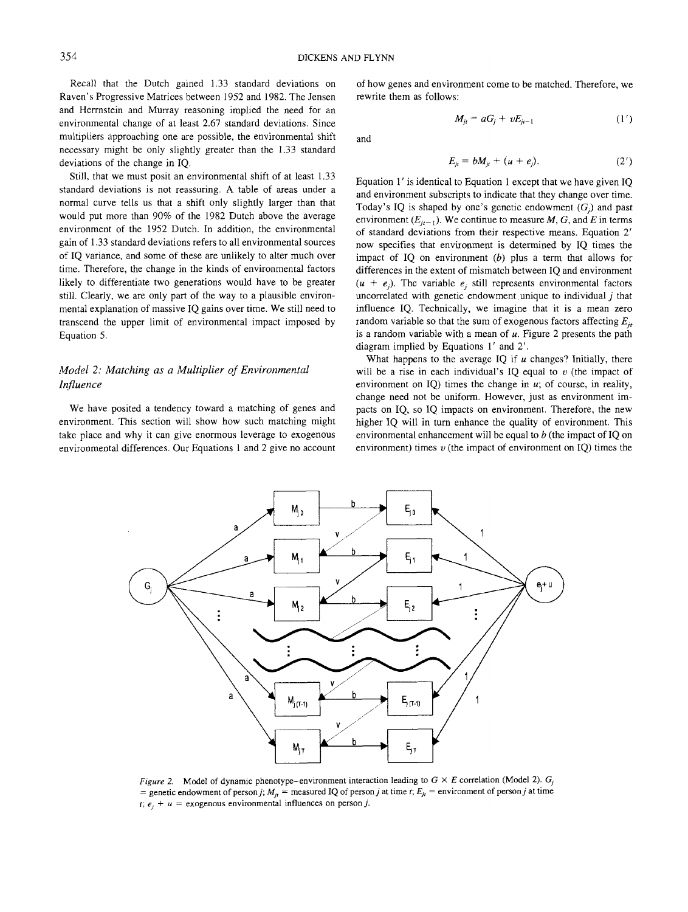Recall that the Dutch gained 1.33 standard deviations on Raven's Progressive Matrices between 1952 and 1982. The Jensen and Herrnstein and Murray reasoning implied the need for an environmental change of at least 2.67 standard deviations. Since multipliers approaching one are possible, the environmental shift necessary might be only slightly greater than the 1.33 standard deviations of the change in IQ.

Still, that we must posit an environmental shift of at least 1.33 standard deviations is not reassuring. A table of areas under a normal curve tells us that a shift only slightly larger than that would put more than 90% of the 1982 Dutch above the average environment of the 1952 Dutch. In addition, the environmental gain of 1.33 standard deviations refers to all environmental sources of IQ variance, and some of these are unlikely to alter much over time. Therefore, the change in the kinds of environmental factors likely to differentiate two generations would have to be greater still. Clearly, we are only part of the way to a plausible environmental explanation of massive IQ gains over time. We still need to transcend the upper limit of environmental impact imposed by Equation 5.

# *Model 2: Matching as a Multiplier of Environmental Influence*

We have posited a tendency toward a matching of genes and environment. This section will show how such matching might take place and why it can give enormous leverage to exogenous environmental differences. Our Equations 1 and 2 give no account of how genes and environment come to be matched. Therefore, we rewrite them as follows:

$$
M_{ji} = aG_j + vE_{ji-1} \tag{1'}
$$

and

$$
E_{jt} = bM_{jt} + (u + e_j). \tag{2'}
$$

Equation 1' is identical to Equation 1 except that we have given IQ and environment subscripts to indicate that they change over time. Today's IQ is shaped by one's genetic endowment *(Gj)* and past environment  $(E_{it-1})$ . We continue to measure *M*, *G*, and *E* in terms of standard deviations from their respective means. Equation 2' now specifies that environment is determined by IQ times the impact of IQ on environment *(b)* plus a term that allows for differences in the extent of mismatch between IQ and environment  $(u + e<sub>i</sub>)$ . The variable  $e<sub>i</sub>$  still represents environmental factors uncorrelated with genetic endowment unique to individual *j* that influence IQ. Technically, we imagine that it is a mean zero random variable so that the sum of exogenous factors affecting  $E_i$ is a random variable with a mean of *u.* Figure 2 presents the path diagram implied by Equations 1' and 2'.

What happens to the average IQ if *u* changes? Initially, there will be a rise in each individual's IQ equal to  $\nu$  (the impact of environment on IQ) times the change in  $u$ ; of course, in reality, change need not be uniform. However, just as environment impacts on IQ, so IQ impacts on environment. Therefore, the new higher IQ will in turn enhance the quality of environment. This environmental enhancement will be equal to *b* (the impact of IQ on environment) times  $v$  (the impact of environment on IQ) times the



*Figure 2.* Model of dynamic phenotype-environment interaction leading to G X *E* correlation (Model 2). *Gj*  $=$  genetic endowment of person *j*;  $M_{ji}$  = measured IQ of person *j* at time *t*;  $E_{ji}$  = environment of person *j* at time *r,*  $e_i + u =$  exogenous environmental influences on person *j*.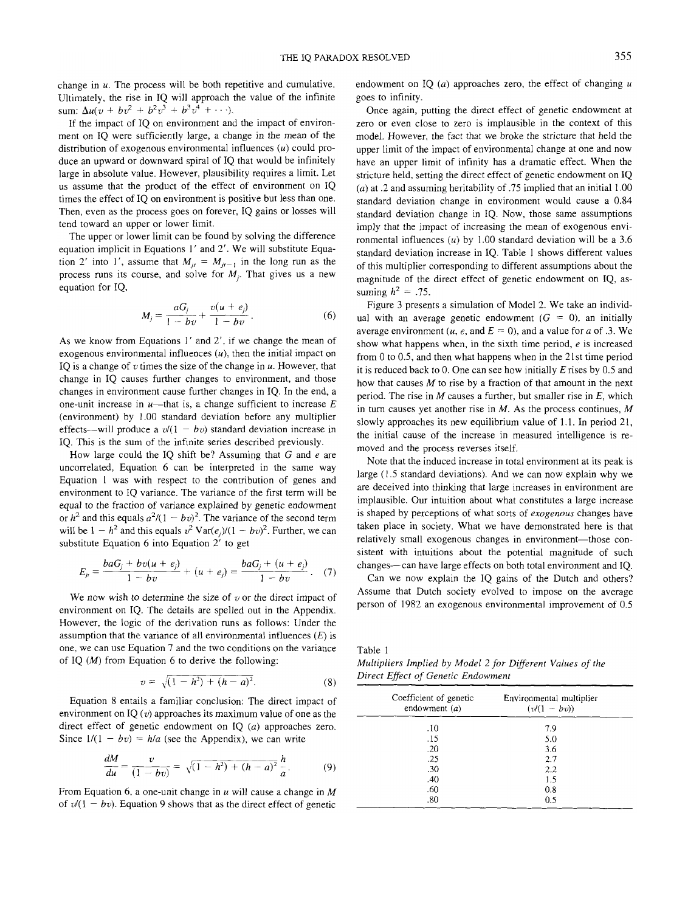change in *u.* The process will be both repetitive and cumulative. Ultimately, the rise in IQ will approach the value of the infinite sum:  $\Delta u(v + bv^2 + b^2v^3 + b^3v^4 + \cdots)$ .

If the impact of IQ on environment and the impact of environment on IQ were sufficiently large, a change in the mean of the distribution of exogenous environmental influences *(u)* could produce an upward or downward spiral of IQ that would be infinitely large in absolute value. However, plausibility requires a limit. Let us assume that the product of the effect of environment on IQ times the effect of IQ on environment is positive but less than one. Then, even as the process goes on forever, IQ gains or losses will tend toward an upper or lower limit.

The upper or lower limit can be found by solving the difference equation implicit in Equations 1' and 2'. We will substitute Equation 2' into 1', assume that  $M_{jt} = M_{jt-1}$  in the long run as the process runs its course, and solve for  $M_i$ . That gives us a new equation for IQ,

$$
M_j = \frac{aG_j}{1 - bv} + \frac{v(u + e_j)}{1 - bv}.
$$
 (6)

As we know from Equations 1' and 2', if we change the mean of exogenous environmental influences *(u),* then the initial impact on IQ is a change of *v* times the size of the change in *u.* However, that change in IQ causes further changes to environment, and those changes in environment cause further changes in IQ. In the end, a one-unit increase in *u*—that is, a change sufficient to increase *E* (environment) by 1.00 standard deviation before any multiplier effects—will produce a  $v/(1 - bv)$  standard deviation increase in IQ. This is the sum of the infinite series described previously.

How large could the IQ shift be? Assuming that G and *e* are uncorrelated, Equation 6 can be interpreted in the same way Equation 1 was with respect to the contribution of genes and environment to IQ variance. The variance of the first term will be equal to the fraction of variance explained by genetic endowment equal to the fraction of variance explained by genetic endowment<br>or  $h^2$  and this equals  $a^2/(1 - bv)^2$ . The variance of the second term will be  $1 - h^2$  and this equals  $v^2 \text{Var}(e_i)/(1 - bv)^2$ . Further, we can substitute Equation 6 into Equation 2' to get

$$
E_{j_1} = \frac{baG_j + bv(u + e_j)}{1 - bv} + (u + e_j) = \frac{baG_j + (u + e_j)}{1 - bv}.
$$
 (7)

We now wish to determine the size of  $\nu$  or the direct impact of environment on IQ. The details are spelled out in the Appendix. However, the logic of the derivation runs as follows: Under the assumption that the variance of all environmental influences *(E)* is one, we can use Equation 7 and the two conditions on the variance of IQ  $(M)$  from Equation 6 to derive the following:

$$
v = \sqrt{(1 - h^2) + (h - a)^2}.
$$
 (8)

Equation 8 entails a familiar conclusion: The direct impact of environment on IQ  $(v)$  approaches its maximum value of one as the direct effect of genetic endowment on IQ (a) approaches zero. Since  $1/(1 - bv) = h/a$  (see the Appendix), we can write

$$
\frac{dM}{du} = \frac{v}{(1 - bv)} = \sqrt{(1 - h^2) + (h - a)^2} \frac{h}{a}.
$$
 (9)

From Equation 6, a one-unit change in *u* will cause a change in *M* of  $v/(1 - bv)$ . Equation 9 shows that as the direct effect of genetic

endowment on IQ (a) approaches zero, the effect of changing *u* goes to infinity.

Once again, putting the direct effect of genetic endowment at zero or even close to zero is implausible in the context of this model. However, the fact that we broke the stricture that held the upper limit of the impact of environmental change at one and now have an upper limit of infinity has a dramatic effect. When the stricture held, setting the direct effect of genetic endowment on IQ *(a)* at .2 and assuming heritability of .75 implied that an initial 1.00 standard deviation change in environment would cause a 0.84 standard deviation change in IQ. Now, those same assumptions imply that the impact of increasing the mean of exogenous environmental influences *(u)* by 1.00 standard deviation will be a 3.6 standard deviation increase in IQ. Table 1 shows different values of this multiplier corresponding to different assumptions about the magnitude of the direct effect of genetic endowment on IQ, assuming  $h^2 = .75$ .

Figure 3 presents a simulation of Model 2. We take an individual with an average genetic endowment  $(G = 0)$ , an initially average environment  $(u, e, \text{ and } E = 0)$ , and a value for a of .3. We show what happens when, in the sixth time period, *e* is increased from 0 to 0.5, and then what happens when in the 21st time period it is reduced back to 0. One can see how initially  $E$  rises by 0.5 and how that causes  $M$  to rise by a fraction of that amount in the next period. The rise in *M* causes a further, but smaller rise in E, which in turn causes yet another rise in *M.* As the process continues, M slowly approaches its new equilibrium value of 1.1. In period 21, the initial cause of the increase in measured intelligence is removed and the process reverses itself.

Note that the induced increase in total environment at its peak is large (1.5 standard deviations). And we can now explain why we are deceived into thinking that large increases in environment are implausible. Our intuition about what constitutes a large increase is shaped by perceptions of what sorts of *exogenous* changes have taken place in society. What we have demonstrated here is that relatively small exogenous changes in environment—those consistent with intuitions about the potential magnitude of such changes—can have large effects on both total environment and IQ.

Can we now explain the IQ gains of the Dutch and others? Assume that Dutch society evolved to impose on the average person of 1982 an exogenous environmental improvement of 0.5

Table 1

*Multipliers Implied by Model 2 for Different Values of the Direct Effect of Genetic Endowment*

| Coefficient of genetic<br>endowment $(a)$ | Environmental multiplier<br>$(v/(1 - bv))$ |  |  |
|-------------------------------------------|--------------------------------------------|--|--|
| .10                                       | 79                                         |  |  |
| .15                                       | 5.0                                        |  |  |
| .20                                       | 3.6                                        |  |  |
| .25                                       | 2.7                                        |  |  |
| .30                                       | 2.2                                        |  |  |
| .40                                       | 1.5                                        |  |  |
| .60                                       | 0.8                                        |  |  |
| .80                                       | 0.5                                        |  |  |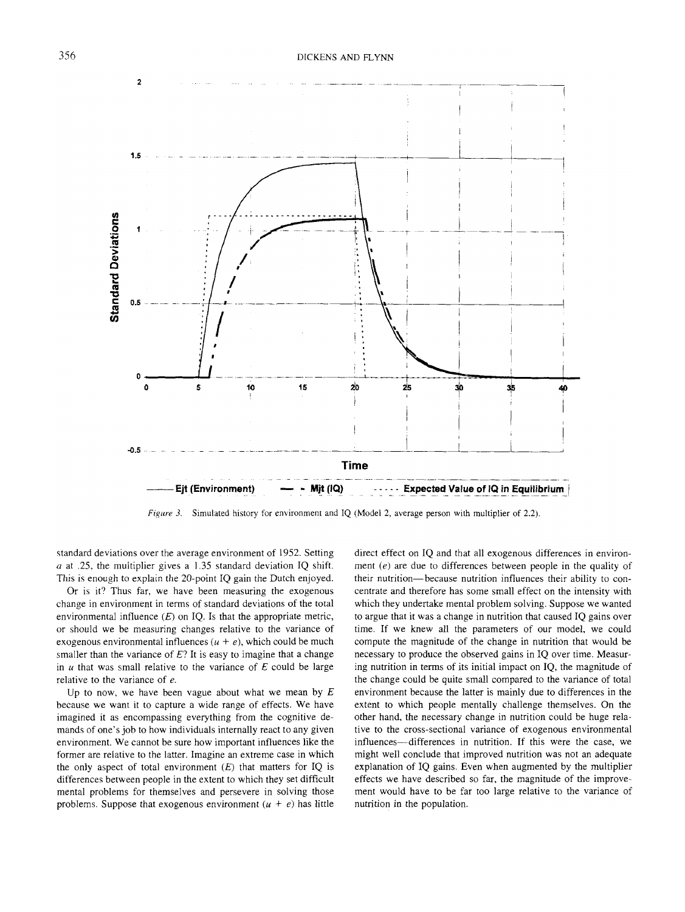

*Figure 3.* Simulated history for environment and IQ (Model 2, average person with multiplier of 2.2).

standard deviations over the average environment of 1952. Setting *a* at .25, the multiplier gives a 1.35 standard deviation IQ shift. This is enough to explain the 20-point IQ gain the Dutch enjoyed.

Or is it? Thus far, we have been measuring the exogenous change in environment in terms of standard deviations of the total environmental influence  $(E)$  on IQ. Is that the appropriate metric, or should we be measuring changes relative to the variance of exogenous environmental influences  $(u + e)$ , which could be much smaller than the variance of  $E$ ? It is easy to imagine that a change in *u* that was small relative to the variance of *E* could be large relative to the variance of *e.*

Up to now, we have been vague about what we mean by  $E$ because we want it to capture a wide range of effects. We have imagined it as encompassing everything from the cognitive demands of one's job to how individuals internally react to any given environment. We cannot be sure how important influences like the former are relative to the latter. Imagine an extreme case in which the only aspect of total environment *(E)* that matters for IQ is differences between people in the extent to which they set difficult mental problems for themselves and persevere in solving those problems. Suppose that exogenous environment  $(u + e)$  has little direct effect on IQ and that all exogenous differences in environment *(e)* are due to differences between people in the quality of their nutrition—because nutrition influences their ability to concentrate and therefore has some small effect on the intensity with which they undertake mental problem solving. Suppose we wanted to argue that it was a change in nutrition that caused IQ gains over time. If we knew all the parameters of our model, we could compute the magnitude of the change in nutrition that would be necessary to produce the observed gains in IQ over time. Measuring nutrition in terms of its initial impact on IQ, the magnitude of the change could be quite small compared to the variance of total environment because the latter is mainly due to differences in the extent to which people mentally challenge themselves. On the other hand, the necessary change in nutrition could be huge relative to the cross-sectional variance of exogenous environmental influences—differences in nutrition. If this were the case, we might well conclude that improved nutrition was not an adequate explanation of IQ gains. Even when augmented by the multiplier effects we have described so far, the magnitude of the improvement would have to be far too large relative to the variance of nutrition in the population.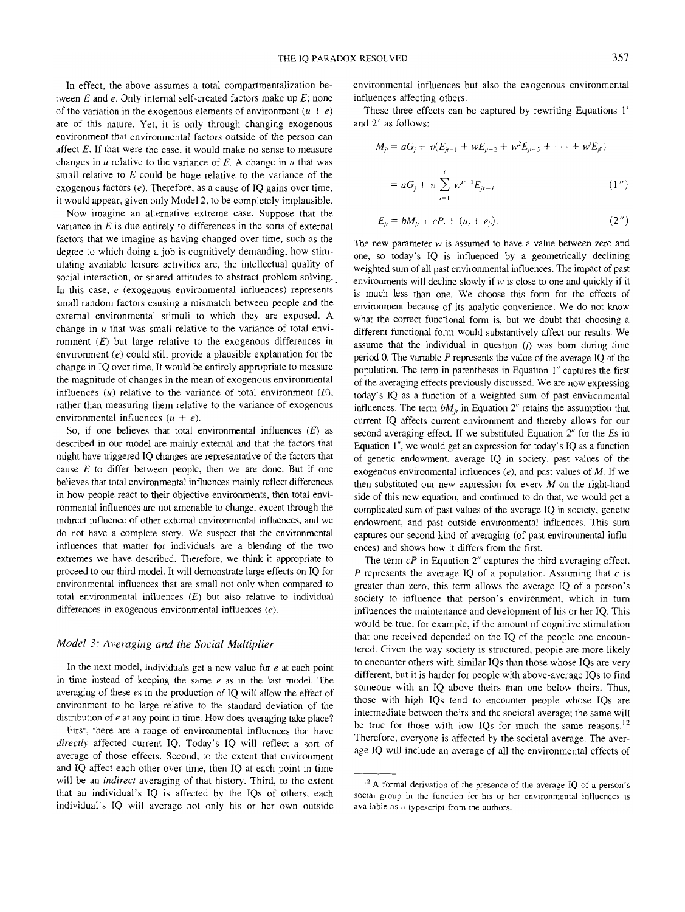In effect, the above assumes a total compartmentalization between *E* and *e.* Only internal self-created factors make up *E\* none of the variation in the exogenous elements of environment  $(u + e)$ are of this nature. Yet, it is only through changing exogenous environment that environmental factors outside of the person can affect *E.* If that were the case, it would make no sense to measure changes in *u* relative to the variance of £. A change in *u* that was small relative to *E* could be huge relative to the variance of the exogenous factors *(e).* Therefore, as a cause of IQ gains over time, it would appear, given only Model 2, to be completely implausible.

Now imagine an alternative extreme case. Suppose that the variance in  $E$  is due entirely to differences in the sorts of external factors that we imagine as having changed over time, such as the degree to which doing a job is cognitively demanding, how stimulating available leisure activities are, the intellectual quality of social interaction, or shared attitudes to abstract problem solving. In this case, *e* (exogenous environmental influences) represents small random factors causing a mismatch between people and the external environmental stimuli to which they are exposed. A change in *u* that was small relative to the variance of total environment *(E)* but large relative to the exogenous differences in environment *(e)* could still provide a plausible explanation for the change in IQ over time. It would be entirely appropriate to measure the magnitude of changes in the mean of exogenous environmental influences  $(u)$  relative to the variance of total environment  $(E)$ , rather than measuring them relative to the variance of exogenous environmental influences *(u + e).*

So, if one believes that total environmental influences *(E)* as described in our model are mainly external and that the factors that might have triggered IQ changes are representative of the factors that cause *E* to differ between people, then we are done. But if one believes that total environmental influences mainly reflect differences in how people react to their objective environments, then total environmental influences are not amenable to change, except through the indirect influence of other external environmental influences, and we do not have a complete story. We suspect that the environmental influences that matter for individuals are a blending of the two extremes we have described. Therefore, we think it appropriate to proceed to our third model. It will demonstrate large effects on IQ for environmental influences that are small not only when compared to total environmental influences *(E)* but also relative to individual differences in exogenous environmental influences *(e).*

### *Model 3: Averaging and the Social Multiplier*

In the next model, individuals get a new value for *e* at each point in time instead of keeping the same *e* as in the last model. The averaging of these  $e$ s in the production of IQ will allow the effect of environment to be large relative to the standard deviation of the distribution of *e* at any point in time. How does averaging take place?

First, there are a range of environmental influences that have *directly* affected current IQ. Today's IQ will reflect a sort of average of those effects. Second, to the extent that environment and IQ affect each other over time, then IQ at each point in time will be an *indirect* averaging of that history. Third, to the extent that an individual's IQ is affected by the IQs of others, each individual's IQ will average not only his or her own outside

environmental influences but also the exogenous environmental influences affecting others.

These three effects can be captured by rewriting Equations 1' and 2' as follows:

$$
M_{ji} = aG_j + v(E_{ji-1} + wE_{ji-2} + w^2 E_{ji-3} + \cdots + w^i E_{j0})
$$
  
=  $aG_j + v \sum_{i=1}^{i} w^{i-1} E_{ji-i}$  (1")

$$
E_{it} = bM_{it} + cP_t + (u_t + e_{it}).
$$
 (2")

The new parameter *w* is assumed to have a value between zero and one, so today's IQ is influenced by a geometrically declining weighted sum of all past environmental influences. The impact of past environments will decline slowly if *w* is close to one and quickly if it is much less than one. We choose this form for the effects of environment because of its analytic convenience. We do not know what the correct functional form is, but we doubt that choosing a different functional form would substantively affect our results. We assume that the individual in question  $(i)$  was born during time period 0. The variable *P* represents the value of the average IQ of the population. The term in parentheses in Equation 1" captures the first of the averaging effects previously discussed. We are now expressing today's IQ as a function of a weighted sum of past environmental influences. The term  $bM_{ij}$  in Equation 2" retains the assumption that current IQ affects current environment and thereby allows for our second averaging effect. If we substituted Equation *2"* for the *Es* in Equation 1", we would get an expression for today's IQ as a function of genetic endowment, average IQ in society, past values of the exogenous environmental influences *(e),* and past values of *M.* If we then substituted our new expression for every *M* on the right-hand side of this new equation, and continued to do that, we would get a complicated sum of past values of the average IQ in society, genetic endowment, and past outside environmental influences. This sum captures our second kind of averaging (of past environmental influences) and shows how it differs from the first.

The term *cP* in Equation 2" captures the third averaging effect. *P* represents the average IQ of a population. Assuming that *c* is greater than zero, this term allows the average IQ of a person's society to influence that person's environment, which in turn influences the maintenance and development of his or her IQ. This would be true, for example, if the amount of cognitive stimulation that one received depended on the IQ of the people one encountered. Given the way society is structured, people are more likely to encounter others with similar IQs than those whose IQs are very different, but it is harder for people with above-average IQs to find someone with an IQ above theirs than one below theirs. Thus, those with high IQs tend to encounter people whose IQs are intermediate between theirs and the societal average; the same will be true for those with low IQs for much the same reasons.<sup>12</sup> Therefore, everyone is affected by the societal average. The average IQ will include an average of all the environmental effects of

 $12$  A formal derivation of the presence of the average IQ of a person's social group in the function for his or her environmental influences is available as a typescript from the authors.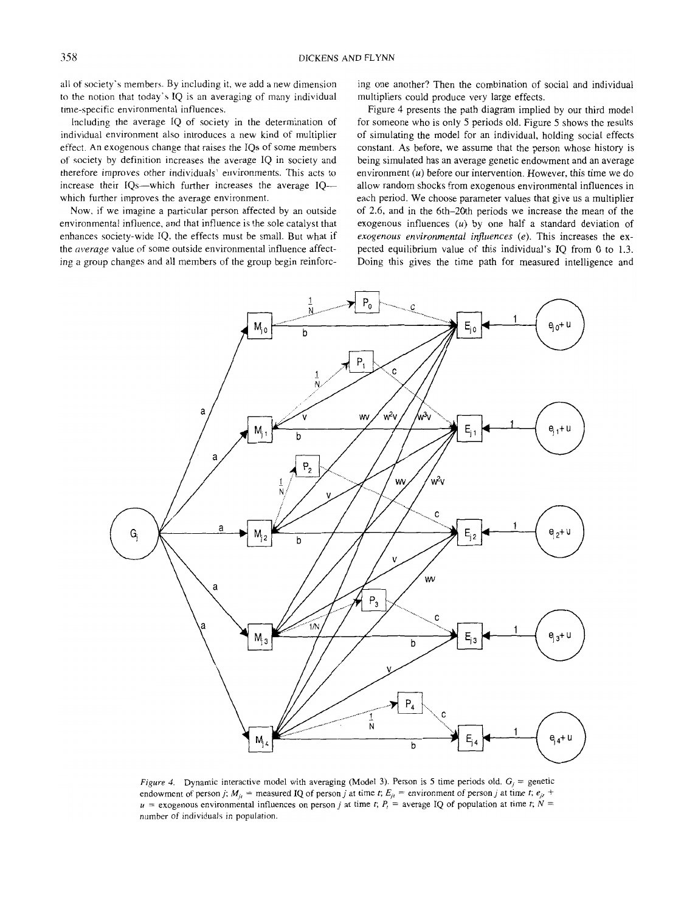358 DICKENS AND FLYNN

all of society's members. By including it, we add a new dimension to the notion that today's IQ is an averaging of many individual time-specific environmental influences.

Including the average IQ of society in the determination of individual environment also introduces a new kind of multiplier effect. An exogenous change that raises the IQs of some members of society by definition increases the average IQ in society and therefore improves other individuals' environments. This acts to increase their IQs—which further increases the average IQ which further improves the average environment.

Now, if we imagine a particular person affected by an outside environmental influence, and that influence is the sole catalyst that enhances society-wide IQ, the effects must be small. But what if the *average* value of some outside environmental influence affecting a group changes and all members of the group begin reinforcing one another? Then the combination of social and individual multipliers could produce very large effects.

Figure 4 presents the path diagram implied by our third model for someone who is only 5 periods old. Figure 5 shows the results of simulating the model for an individual, holding social effects constant. As before, we assume that the person whose history is being simulated has an average genetic endowment and an average environment *(u)* before our intervention. However, this time we do allow random shocks from exogenous environmental influences in each period. We choose parameter values that give us a multiplier of 2.6, and in the 6th-20th periods we increase the mean of the exogenous influences  $(u)$  by one half a standard deviation of *exogenous environmental influences (e).* This increases the expected equilibrium value of this individual's IQ from 0 to 1.3. Doing this gives the time path for measured intelligence and



*Figure 4.* Dynamic interactive model with averaging (Model 3). Person is 5 time periods old.  $G_i$  = genetic endowment of person *j*;  $M_{ij}$  = measured IQ of person *j* at time *t*;  $E_{ji}$  = environment of person *j* at time *t*;  $e_{ji}$  +  $u =$  exogenous environmental influences on person *j* at time *t*;  $P_i =$  average IQ of population at time *t*;  $N =$ number of individuals in population.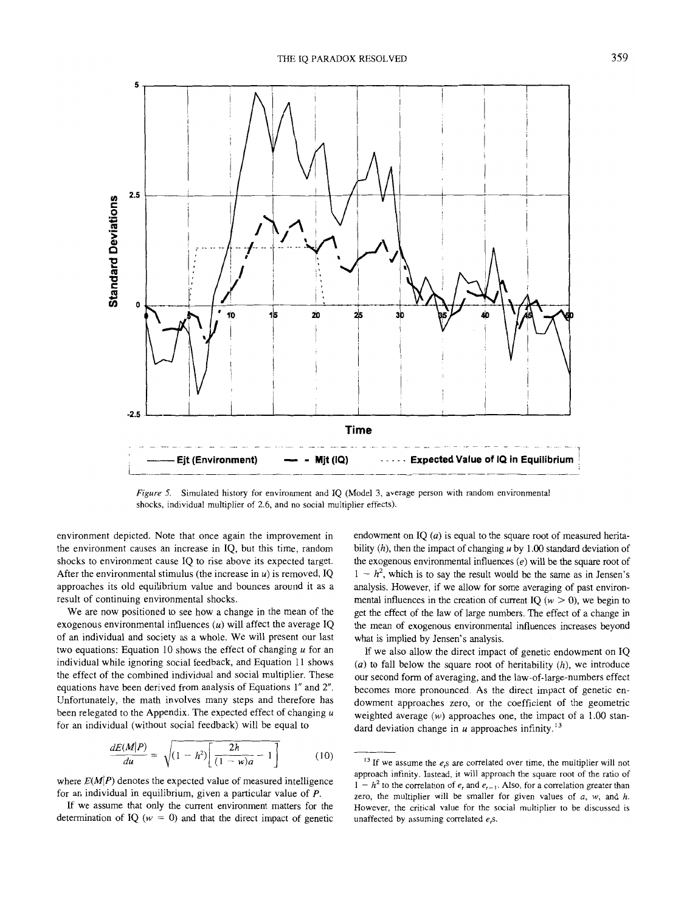

*Figure 5.* Simulated history for environment and IQ (Model 3, average person with random environmental shocks, individual multiplier of 2.6, and no social multiplier effects).

environment depicted. Note that once again the improvement in the environment causes an increase in IQ, but this time, random shocks to environment cause IQ to rise above its expected target. After the environmental stimulus (the increase in  $u$ ) is removed, IQ approaches its old equilibrium value and bounces around it as a result of continuing environmental shocks.

We are now positioned to see how a change in the mean of the exogenous environmental influences *(u)* will affect the average IQ of an individual and society as a whole. We will present our last two equations: Equation 10 shows the effect of changing *u* for an individual while ignoring social feedback, and Equation 11 shows the effect of the combined individual and social multiplier. These equations have been derived from analysis of Equations 1" and 2". Unfortunately, the math involves many steps and therefore has been relegated to the Appendix. The expected effect of changing *u* for an individual (without social feedback) will be equal to

$$
\frac{dE(M|P)}{du} = \sqrt{(1-h^2)\left[\frac{2h}{(1-w)a} - 1\right]}
$$
(10)

where  $E(M|P)$  denotes the expected value of measured intelligence for an individual in equilibrium, given a particular value of *P.*

If we assume that only the current environment matters for the determination of IQ ( $w = 0$ ) and that the direct impact of genetic

endowment on  $IQ(a)$  is equal to the square root of measured heritability *(h),* then the impact of changing *u* by 1.00 standard deviation of the exogenous environmental influences *(e)* will be the square root of  $1 - h^2$ , which is to say the result would be the same as in Jensen's analysis. However, if we allow for some averaging of past environmental influences in the creation of current IQ ( $w > 0$ ), we begin to get the effect of the law of large numbers. The effect of a change in the mean of exogenous environmental influences increases beyond what is implied by Jensen's analysis.

If we also allow the direct impact of genetic endowment on IQ *(a)* to fall below the square root of heritability *(h),* we introduce our second form of averaging, and the law-of-large-numbers effect becomes more pronounced. As the direct impact of genetic endowment approaches zero, or the coefficient of the geometric weighted average  $(w)$  approaches one, the impact of a 1.00 standard deviation change in *u* approaches infinity.<sup>13</sup>

<sup>&</sup>lt;sup>13</sup> If we assume the  $e$ , are correlated over time, the multiplier will not approach infinity. Instead, it will approach the square root of the ratio of  $1 - h^2$  to the correlation of  $e_t$  and  $e_{t-1}$ . Also, for a correlation greater than zero, the multiplier will be smaller for given values of *a, w,* and *h.* However, the critical value for the social multiplier to be discussed is unaffected by assuming correlated  $e$ ,s.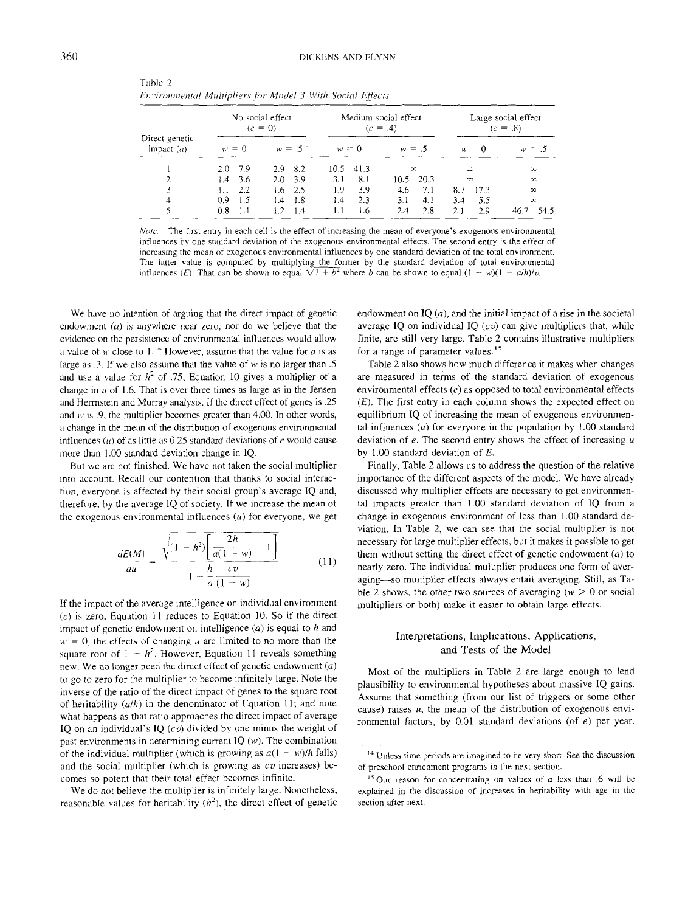| Direct genetic<br>impact $(a)$ |            | No social effect<br>$(c = 0)$ |              | Medium social effect<br>$(c = 0.4)$ |             | Large social effect<br>$(c = .8)$ |
|--------------------------------|------------|-------------------------------|--------------|-------------------------------------|-------------|-----------------------------------|
|                                | $w = 0$    | $w = .5$                      | $w = 0$      | $w = .5$                            | $w = 0$     | $w = .5$                          |
| ۰,                             | 7.9<br>2.0 | - 8.2<br>2.9                  | 10.5<br>41.3 | $\infty$                            | $\infty$    | $\infty$                          |
| $\cdot$                        | 3.6<br>1.4 | $2.0 \quad 3.9$               | 8.1<br>3.1   | 20.3<br>10.5                        | $\infty$    | $\infty$                          |
| .3                             | 2.2<br>1.1 | 2.5<br>1.6                    | 3.9<br>1.9   | 4.6<br>7.1                          | 8.7<br>17.3 | $\infty$                          |
| .4                             | 0.9<br>1.5 | 1.8<br>$\frac{1}{4}$          | 2.3<br>1.4   | 4.1<br>3.1                          | 3.4<br>5.5  | $\infty$                          |
|                                | 0.8        | $\overline{14}$               | 1.1<br>1.6   | 2.8<br>2.4                          | 2.1<br>2.9  | 46.7<br>54.5                      |

Table 2 *Environmental Multipliers for Model 3 With Social Effects*

*Note-* The first entry in each cell is the effect of increasing the mean of everyone's exogenous environmental influences by one standard deviation of the exogenous environmental effects. The second entry is the effect of increasing the mean of exogenous environmental influences by one standard deviation of the total environment. The latter value is computed by multiplying the former by the standard deviation of total environmental influences (E). That can be shown to equal  $\sqrt{1+b^2}$  where *b* can be shown to equal  $(1 - w)(1 - a/h)/v$ .

We have no intention of arguing that the direct impact of genetic endowment *(a)* is anywhere near zero, nor do we believe that the evidence on the persistence of environmental influences would allow a value of w close to  $1<sup>{14}</sup>$  However, assume that the value for *a* is as large as .3. If we also assume that the value of *w* is no larger than .5 and use a value for  $h^2$  of .75, Equation 10 gives a multiplier of a change in *u* of 1.6. That is over three times as large as in the Jensen and Herrnstein and Murray analysis. If the direct effect of genes is .25 and  $w$  is .9, the multiplier becomes greater than 4.00. In other words, a change in the mean of the distribution of exogenous environmental influences  $(u)$  of as little as 0.25 standard deviations of  $e$  would cause more than 1.00 standard deviation change in IQ.

But we are not finished. We have not taken the social multiplier into account. Recall our contention that thanks to social interaction, everyone is affected by their social group's average IQ and, therefore, by the average IQ of society. If we increase the mean of the exogenous environmental influences *(u)* for everyone, we get

$$
\frac{dE(M)}{du} = \frac{\sqrt{(1-h^2)\left[\frac{2h}{a(1-w)} - 1\right]}}{1 - \frac{h}{a(1-w)}}
$$
(11)

If the impact of the average intelligence on individual environment  $(c)$  is zero, Equation 11 reduces to Equation 10. So if the direct impact of genetic endowment on intelligence *(a)* is equal to *h* and  $w = 0$ , the effects of changing *u* are limited to no more than the square root of  $1 - h^2$ . However, Equation 11 reveals something new. We no longer need the direct effect of genetic endowment (a) to go to zero for the multiplier to become infinitely large. Note the inverse of the ratio of the direct impact of genes to the square root of heritability *(alh)* in the denominator of Equation 11; and note what happens as that ratio approaches the direct impact of average IQ on an individual's IQ *(cv)* divided by one minus the weight of past environments in determining current IQ *(w).* The combination of the individual multiplier (which is growing as  $a(1 - w)/h$  falls) and the social multiplier (which is growing as *cv* increases) becomes so potent that their total effect becomes infinite.

We do not believe the multiplier is infinitely large. Nonetheless, reasonable values for heritability  $(h^2)$ , the direct effect of genetic

endowment on  $IO(a)$ , and the initial impact of a rise in the societal average IQ on individual IQ *(cv)* can give multipliers that, while finite, are still very large. Table 2 contains illustrative multipliers for a range of parameter values.<sup>15</sup>

Table 2 also shows how much difference it makes when changes are measured in terms of the standard deviation of exogenous environmental effects *(e)* as opposed to total environmental effects *(E).* The first entry in each column shows the expected effect on equilibrium IQ of increasing the mean of exogenous environmental influences  $(u)$  for everyone in the population by 1.00 standard deviation of *e.* The second entry shows the effect of increasing *u* by 1.00 standard deviation of *E.*

Finally, Table 2 allows us to address the question of the relative importance of the different aspects of the model. We have already discussed why multiplier effects are necessary to get environmental impacts greater than 1.00 standard deviation of IQ from a change in exogenous environment of less than 1.00 standard deviation. In Table 2, we can see that the social multiplier is not necessary for large multiplier effects, but it makes it possible to get them without setting the direct effect of genetic endowment *(a)* to nearly zero. The individual multiplier produces one form of averaging—so multiplier effects always entail averaging. Still, as Table 2 shows, the other two sources of averaging ( $w > 0$  or social multipliers or both) make it easier to obtain large effects.

# Interpretations, Implications, Applications, and Tests of the Model

Most of the multipliers in Table 2 are large enough to lend plausibility to environmental hypotheses about massive IQ gains. Assume that something (from our list of triggers or some other cause) raises *u,* the mean of the distribution of exogenous environmental factors, by 0.01 standard deviations (of *e)* per year.

<sup>&</sup>lt;sup>14</sup> Unless time periods are imagined to be very short. See the discussion of preschool enrichment programs in the next section.

<sup>&</sup>lt;sup>15</sup> Our reason for concentrating on values of *a* less than .6 will be explained in the discussion of increases in heritability with age in the section after next.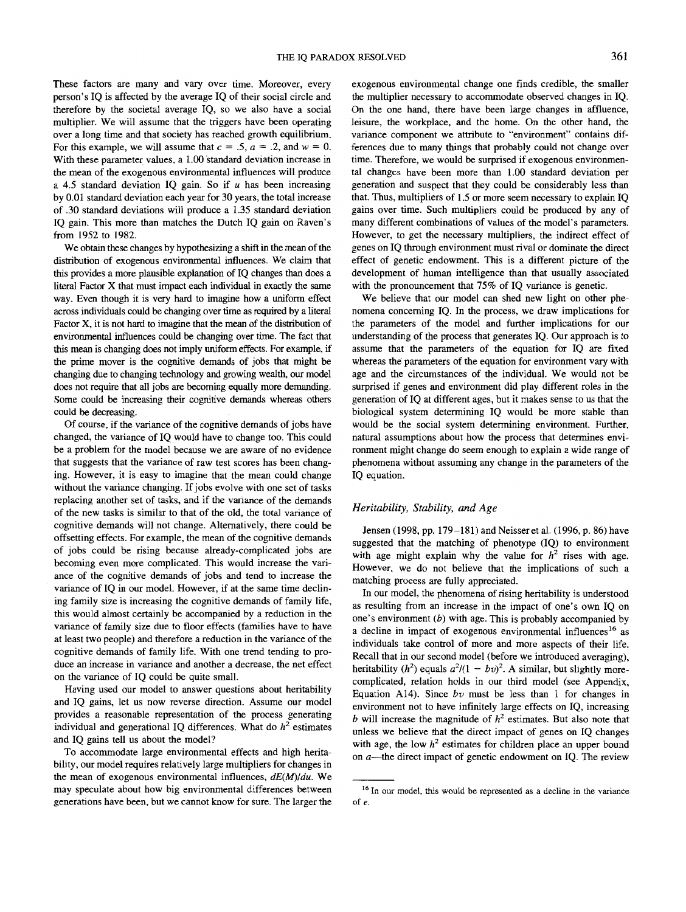These factors are many and vary over time. Moreover, every person's IQ is affected by the average IQ of their social circle and therefore by the societal average IQ, so we also have a social multiplier. We will assume that the triggers have been operating over a long time and that society has reached growth equilibrium. For this example, we will assume that  $c = .5$ ,  $a = .2$ , and  $w = 0$ . With these parameter values, a 1.00 standard deviation increase in the mean of the exogenous environmental influences will produce a 4.5 standard deviation IQ gain. So if *u* has been increasing by 0.01 standard deviation each year for 30 years, the total increase of .30 standard deviations will produce a 1.35 standard deviation IQ gain. This more than matches the Dutch IQ gain on Raven's from 1952 to 1982.

We obtain these changes by hypothesizing a shift in the mean of the distribution of exogenous environmental influences. We claim that this provides a more plausible explanation of IQ changes than does a literal Factor X that must impact each individual in exactly the same way. Even though it is very hard to imagine how a uniform effect across individuals could be changing over time as required by a literal Factor X, it is not hard to imagine that the mean of the distribution of environmental influences could be changing over time. The fact that this mean is changing does not imply uniform effects. For example, if the prime mover is the cognitive demands of jobs that might be changing due to changing technology and growing wealth, our model does not require that all jobs are becoming equally more demanding. Some could be increasing their cognitive demands whereas others could be decreasing.

Of course, if the variance of the cognitive demands of jobs have changed, the variance of IQ would have to change too. This could be a problem for the model because we are aware of no evidence that suggests that the variance of raw test scores has been changing. However, it is easy to imagine that the mean could change without the variance changing. If jobs evolve with one set of tasks replacing another set of tasks, and if the variance of the demands of the new tasks is similar to that of the old, the total variance of cognitive demands will not change. Alternatively, there could be offsetting effects. For example, the mean of the cognitive demands of jobs could be rising because already-complicated jobs are becoming even more complicated. This would increase the variance of the cognitive demands of jobs and tend to increase the variance of IQ in our model. However, if at the same time declining family size is increasing the cognitive demands of family life, this would almost certainly be accompanied by a reduction in the variance of family size due to floor effects (families have to have at least two people) and therefore a reduction in the variance of the cognitive demands of family life. With one trend tending to produce an increase in variance and another a decrease, the net effect on the variance of IQ could be quite small.

Having used our model to answer questions about heritability and IQ gains, let us now reverse direction. Assume our model provides a reasonable representation of the process generating individual and generational IQ differences. What do  $h<sup>2</sup>$  estimates and IQ gains tell us about the model?

To accommodate large environmental effects and high heritability, our model requires relatively large multipliers for changes in the mean of exogenous environmental influences,  $dE(M)/du$ . We may speculate about how big environmental differences between generations have been, but we cannot know for sure. The larger the exogenous environmental change one finds credible, the smaller the multiplier necessary to accommodate observed changes in IQ. On the one hand, there have been large changes in affluence, leisure, the workplace, and the home. On the other hand, the variance component we attribute to "environment" contains differences due to many things that probably could not change over time. Therefore, we would be surprised if exogenous environmental changes have been more than 1.00 standard deviation per generation and suspect that they could be considerably less than that. Thus, multipliers of 1.5 or more seem necessary to explain IQ gains over time. Such multipliers could be produced by any of many different combinations of values of the model's parameters. However, to get the necessary multipliers, the indirect effect of genes on IQ through environment must rival or dominate the direct effect of genetic endowment. This is a different picture of the development of human intelligence than that usually associated with the pronouncement that 75% of IQ variance is genetic.

We believe that our model can shed new light on other phenomena concerning IQ. In the process, we draw implications for the parameters of the model and further implications for our understanding of the process that generates IQ. Our approach is to assume that the parameters of the equation for IQ are fixed whereas the parameters of the equation for environment vary with age and the circumstances of the individual. We would not be surprised if genes and environment did play different roles in the generation of IQ at different ages, but it makes sense to us that the biological system determining IQ would be more stable than would be the social system determining environment. Further, natural assumptions about how the process that determines environment might change do seem enough to explain a wide range of phenomena without assuming any change in the parameters of the IQ equation.

#### *Heritability, Stability, and Age*

Jensen (1998, pp. 179-181) and Neisser et al. (1996, p. 86) have suggested that the matching of phenotype (IQ) to environment with age might explain why the value for  $h^2$  rises with age. However, we do not believe that the implications of such a matching process are fully appreciated.

In our model, the phenomena of rising heritability is understood as resulting from an increase in the impact of one's own IQ on one's environment *(b)* with age. This is probably accompanied by a decline in impact of exogenous environmental influences<sup>16</sup> as individuals take control of more and more aspects of their life. Recall that in our second model (before we introduced averaging), heritability  $(h^2)$  equals  $a^2/(1 - bv)^2$ . A similar, but slightly morecomplicated, relation holds in our third model (see Appendix, Equation A14). Since *bv* must be less than 1 for changes in environment not to have infinitely large effects on IQ, increasing *b* will increase the magnitude of  $h^2$  estimates. But also note that unless we believe that the direct impact of genes on IQ changes with age, the low  $h^2$  estimates for children place an upper bound on *a*—the direct impact of genetic endowment on IQ. The review

<sup>&</sup>lt;sup>16</sup> In our model, this would be represented as a decline in the variance of *e.*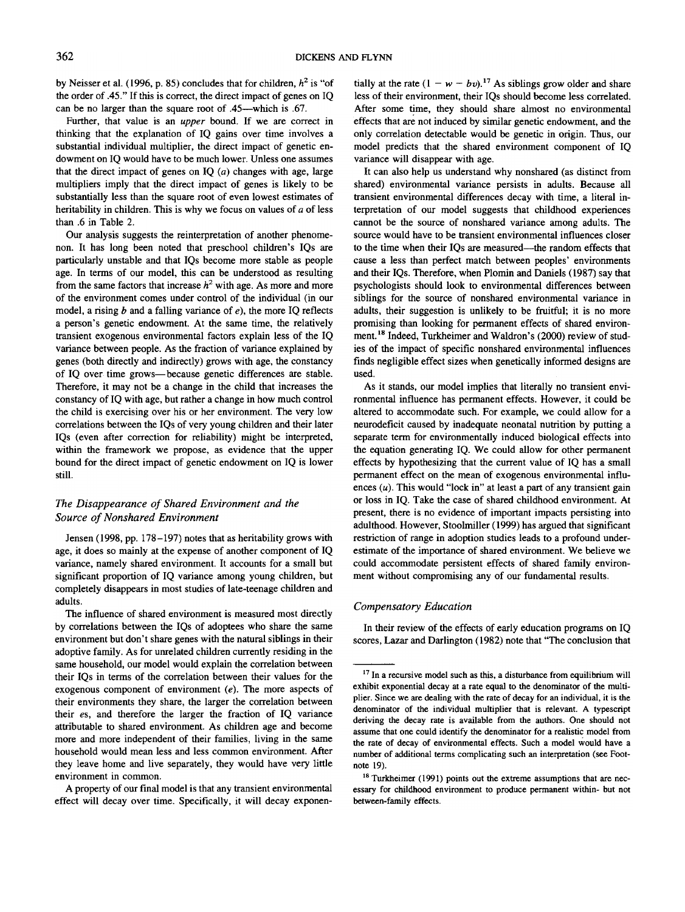by Neisser et al. (1996, p. 85) concludes that for children,  $h^2$  is "of the order of .45." If this is correct, the direct impact of genes on IQ can be no larger than the square root of .45—which is .67.

Further, that value is an *upper* bound. If we are correct in thinking that the explanation of IQ gains over time involves a substantial individual multiplier, the direct impact of genetic endowment on IQ would have to be much lower. Unless one assumes that the direct impact of genes on  $IQ$   $(a)$  changes with age, large multipliers imply that the direct impact of genes is likely to be substantially less than the square root of even lowest estimates of heritability in children. This is why we focus on values of *a* of less than .6 in Table 2.

Our analysis suggests the reinterpretation of another phenomenon. It has long been noted that preschool children's IQs are particularly unstable and that IQs become more stable as people age. In terms of our model, this can be understood as resulting from the same factors that increase  $h^2$  with age. As more and more of the environment comes under control of the individual (in our model, a rising *b* and a falling variance of *e),* the more IQ reflects a person's genetic endowment. At the same time, the relatively transient exogenous environmental factors explain less of the IQ variance between people. As the fraction of variance explained by genes (both directly and indirectly) grows with age, the constancy of IQ over time grows—because genetic differences are stable. Therefore, it may not be a change in the child that increases the constancy of IQ with age, but rather a change in how much control the child is exercising over his or her environment. The very low correlations between the IQs of very young children and their later IQs (even after correction for reliability) might be interpreted, within the framework we propose, as evidence that the upper bound for the direct impact of genetic endowment on IQ is lower still.

# *The Disappearance of Shared Environment and the Source of Nonshared Environment*

Jensen (1998, pp. 178-197) notes that as heritability grows with age, it does so mainly at the expense of another component of IQ variance, namely shared environment. It accounts for a small but significant proportion of IQ variance among young children, but completely disappears in most studies of late-teenage children and adults.

The influence of shared environment is measured most directly by correlations between the IQs of adoptees who share the same environment but don't share genes with the natural siblings in their adoptive family. As for unrelated children currently residing in the same household, our model would explain the correlation between their IQs in terms of the correlation between their values for the exogenous component of environment *(e).* The more aspects of their environments they share, the larger the correlation between their *es,* and therefore the larger the fraction of IQ variance attributable to shared environment. As children age and become more and more independent of their families, living in the same household would mean less and less common environment. After they leave home and live separately, they would have very little environment in common.

A property of our final model is that any transient environmental effect will decay over time. Specifically, it will decay exponentially at the rate  $(1 - w - bv)^{17}$ . As siblings grow older and share less of their environment, their IQs should become less correlated. After some time, they should share almost no environmental effects that are not induced by similar genetic endowment, and the only correlation detectable would be genetic in origin. Thus, our model predicts that the shared environment component of IQ variance will disappear with age.

It can also help us understand why nonshared (as distinct from shared) environmental variance persists in adults. Because all transient environmental differences decay with time, a literal interpretation of our model suggests that childhood experiences cannot be the source of nonshared variance among adults. The source would have to be transient environmental influences closer to the time when their IQs are measured—the random effects that cause a less than perfect match between peoples' environments and their IQs. Therefore, when Plomin and Daniels (1987) say that psychologists should look to environmental differences between siblings for the source of nonshared environmental variance in adults, their suggestion is unlikely to be fruitful; it is no more promising than looking for permanent effects of shared environment.<sup>18</sup> Indeed, Turkheimer and Waldron's (2000) review of studies of the impact of specific nonshared environmental influences finds negligible effect sizes when genetically informed designs are used.

As it stands, our model implies that literally no transient environmental influence has permanent effects. However, it could be altered to accommodate such. For example, we could allow for a neurodeficit caused by inadequate neonatal nutrition by putting a separate term for environmentally induced biological effects into the equation generating IQ. We could allow for other permanent effects by hypothesizing that the current value of IQ has a small permanent effect on the mean of exogenous environmental influences  $(u)$ . This would "lock in" at least a part of any transient gain or loss in IQ. Take the case of shared childhood environment. At present, there is no evidence of important impacts persisting into adulthood. However, Stoolmiller (1999) has argued that significant restriction of range in adoption studies leads to a profound underestimate of the importance of shared environment. We believe we could accommodate persistent effects of shared family environment without compromising any of our fundamental results.

### *Compensatory Education*

In their review of the effects of early education programs on IQ scores, Lazar and Darlington (1982) note that "The conclusion that

 $17$  In a recursive model such as this, a disturbance from equilibrium will exhibit exponential decay at a rate equal to the denominator of the multiplier. Since we are dealing with the rate of decay for an individual, it is the denominator of the individual multiplier that is relevant. A typescript deriving the decay rate is available from the authors. One should not assume that one could identify the denominator for a realistic model from the rate of decay of environmental effects. Such a model would have a number of additional terms complicating such an interpretation (see Footnote 19).

<sup>&</sup>lt;sup>18</sup> Turkheimer (1991) points out the extreme assumptions that are necessary for childhood environment to produce permanent within- but not between-family effects.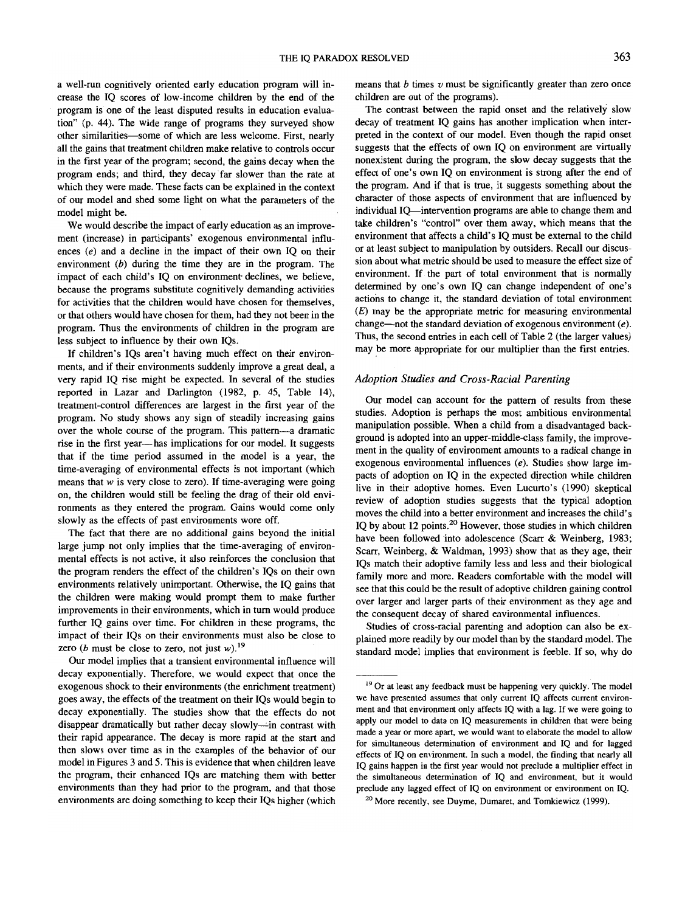a well-run cognitively oriented early education program will increase the IQ scores of low-income children by the end of the program is one of the least disputed results in education evaluation" (p. 44). The wide range of programs they surveyed show other similarities—some of which are less welcome. First, nearly all the gains that treatment children make relative to controls occur in the first year of the program; second, the gains decay when the program ends; and third, they decay far slower than the rate at which they were made. These facts can be explained in the context of our model and shed some light on what the parameters of the model might be.

We would describe the impact of early education as an improvement (increase) in participants' exogenous environmental influences *(e)* and a decline in the impact of their own IQ on their environment *(b)* during the time they are in the program. The impact of each child's IQ on environment- declines, we believe, because the programs substitute cognitively demanding activities for activities that the children would have chosen for themselves, or that others would have chosen for them, had they not been in the program. Thus the environments of children in the program are less subject to influence by their own IQs.

If children's IQs aren't having much effect on their environments, and if their environments suddenly improve a great deal, a very rapid IQ rise might be expected. In several of the studies reported in Lazar and Darlington (1982, p. 45, Table 14), treatment-control differences are largest in the first year of the program. No study shows any sign of steadily increasing gains over the whole course of the program. This pattern—a dramatic rise in the first year—has implications for our model. It suggests that if the time period assumed in the model is a year, the time-averaging of environmental effects is not important (which means that *w* is very close to zero). If time-averaging were going on, the children would still be feeling the drag of their old environments as they entered the program. Gains would come only slowly as the effects of past environments wore off.

The fact that there are no additional gains beyond the initial large jump not only implies that the time-averaging of environmental effects is not active, it also reinforces the conclusion that the program renders the effect of the children's IQs on their own environments relatively unimportant. Otherwise, the IQ gains that the children were making would prompt them to make further improvements in their environments, which in turn would produce further IQ gains over time. For children in these programs, the impact of their IQs on their environments must also be close to zero (b must be close to zero, not just w).<sup>19</sup>

Our model implies that a transient environmental influence will decay exponentially. Therefore, we would expect that once the exogenous shock to their environments (the enrichment treatment) goes away, the effects of the treatment on their IQs would begin to decay exponentially. The studies show that the effects do not disappear dramatically but rather decay slowly—-in contrast with their rapid appearance. The decay is more rapid at the start and then slows over time as in the examples of the behavior of our model in Figures 3 and 5. This is evidence that when children leave the program, their enhanced IQs are matching them with better environments than they had prior to the program, and that those environments are doing something to keep their IQs higher (which means that *b* times *v* must be significantly greater than zero once children are out of the programs).

The contrast between the rapid onset and the relatively slow decay of treatment IQ gains has another implication when interpreted in the context of our model. Even though the rapid onset suggests that the effects of own IQ on environment are virtually nonexistent during the program, the slow decay suggests that the effect of one's own IQ on environment is strong after the end of the program. And if that is true, it suggests something about the character of those aspects of environment that are influenced by individual IQ—intervention programs are able to change them and take children's "control" over them away, which means that the environment that affects a child's IQ must be external to the child or at least subject to manipulation by outsiders. Recall our discussion about what metric should be used to measure the effect size of environment. If the part of total environment that is normally determined by one's own IQ can change independent of one's actions to change it, the standard deviation of total environment *(E)* may be the appropriate metric for measuring environmental change—not the standard deviation of exogenous environment *(e).* Thus, the second entries in each cell of Table 2 (the larger values) may be more appropriate for our multiplier than the first entries.

### *Adoption Studies and Cross-Racial Parenting*

Our model can account for the pattern of results from these studies. Adoption is perhaps the most ambitious environmental manipulation possible. When a child from a disadvantaged background is adopted into an upper-middle-class family, the improvement in the quality of environment amounts to a radical change in exogenous environmental influences *(e).* Studies show large impacts of adoption on IQ in the expected direction while children live in their adoptive homes. Even Lucurto's (1990) skeptical review of adoption studies suggests that the typical adoption moves the child into a better environment and increases the child's IQ by about 12 points.<sup>20</sup> However, those studies in which children have been followed into adolescence (Scarr & Weinberg, 1983; Scarr, Weinberg, & Waldman, 1993) show that as they age, their IQs match their adoptive family less and less and their biological family more and more. Readers comfortable with the model will see that this could be the result of adoptive children gaining control over larger and larger parts of their environment as they age and the consequent decay of shared environmental influences.

Studies of cross-racial parenting and adoption can also be explained more readily by our model than by the standard model. The standard model implies that environment is feeble. If so, why do

<sup>&</sup>lt;sup>19</sup> Or at least any feedback must be happening very quickly. The model we have presented assumes that only current IQ affects current environment and that environment only affects IQ with a lag. If we were going to apply our model to data on IQ measurements in children that were being made a year or more apart, we would want to elaborate the model to allow for simultaneous determination of environment and IQ and for lagged effects of IQ on environment. In such a model, the finding that nearly all IQ gains happen in the first year would not preclude a multiplier effect in the simultaneous determination of IQ and environment, but it would preclude any lagged effect of IQ on environment or environment on IQ.

<sup>&</sup>lt;sup>20</sup> More recently, see Duyme, Dumaret, and Tomkiewicz (1999).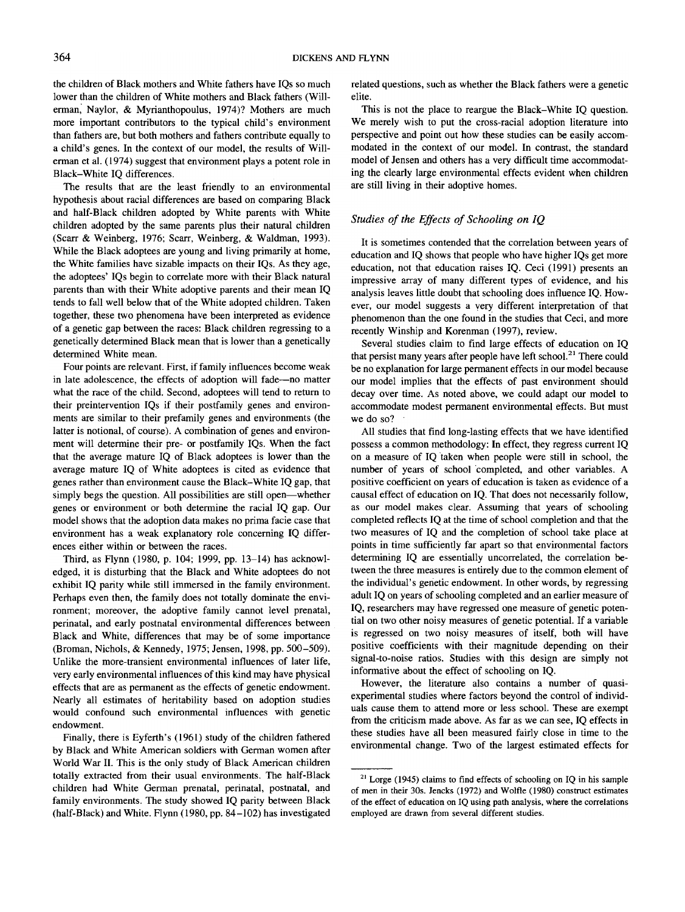the children of Black mothers and White fathers have IQs so much lower than the children of White mothers and Black fathers (Willerman, Naylor, & Myrianthopoulus, 1974)? Mothers are much more important contributors to the typical child's environment than fathers are, but both mothers and fathers contribute equally to a child's genes. In the context of our model, the results of Willerman et al. (1974) suggest that environment plays a potent role in Black-White IQ differences.

The results that are the least friendly to an environmental hypothesis about racial differences are based on comparing Black and half-Black children adopted by White parents with White children adopted by the same parents plus their natural children (Scarr & Weinberg, 1976; Scarr, Weinberg, & Waldman, 1993). While the Black adoptees are young and living primarily at home, the White families have sizable impacts on their IQs. As they age, the adoptees' IQs begin to correlate more with their Black natural parents than with their White adoptive parents and their mean IQ tends to fall well below that of the White adopted children. Taken together, these two phenomena have been interpreted as evidence of a genetic gap between the races: Black children regressing to a genetically determined Black mean that is lower than a genetically determined White mean.

Four points are relevant. First, if family influences become weak in late adolescence, the effects of adoption will fade—no matter what the race of the child. Second, adoptees will tend to return to their preintervention IQs if their postfamily genes and environments are similar to their prefamily genes and environments (the latter is notional, of course). A combination of genes and environment will determine their pre- or postfamily IQs. When the fact that the average mature IQ of Black adoptees is lower than the average mature IQ of White adoptees is cited as evidence that genes rather than environment cause the Black-White IQ gap, that simply begs the question. All possibilities are still open—whether genes or environment or both determine the racial IQ gap. Our model shows that the adoption data makes no prima facie case that environment has a weak explanatory role concerning IQ differences either within or between the races.

Third, as Flynn (1980, p. 104; 1999, pp. 13-14) has acknowledged, it is disturbing that the Black and White adoptees do not exhibit IQ parity while still immersed in the family environment. Perhaps even then, the family does not totally dominate the environment; moreover, the adoptive family cannot level prenatal, perinatal, and early postnatal environmental differences between Black and White, differences that may be of some importance (Broman, Nichols, & Kennedy, 1975; Jensen, 1998, pp. 500-509). Unlike the more-transient environmental influences of later life, very early environmental influences of this kind may have physical effects that are as permanent as the effects of genetic endowment. Nearly all estimates of heritability based on adoption studies would confound such environmental influences with genetic endowment.

Finally, there is Eyferth's (1961) study of the children fathered by Black and White American soldiers with German women after World War II. This is the only study of Black American children totally extracted from their usual environments. The half-Black children had White German prenatal, perinatal, postnatal, and family environments. The study showed IQ parity between Black (half-Black) and White. Flynn (1980, pp. 84-102) has investigated

related questions, such as whether the Black fathers were a genetic elite.

This is not the place to reargue the Black-White IQ question. We merely wish to put the cross-racial adoption literature into perspective and point out how these studies can be easily accommodated in the context of our model. In contrast, the standard model of Jensen and others has a very difficult time accommodating the clearly large environmental effects evident when children are still living in their adoptive homes.

### *Studies of the Effects of Schooling on IQ*

It is sometimes contended that the correlation between years of education and IQ shows that people who have higher IQs get more education, not that education raises IQ. Ceci (1991) presents an impressive array of many different types of evidence, and his analysis leaves little doubt that schooling does influence IQ. However, our model suggests a very different interpretation of that phenomenon than the one found in the studies that Ceci, and more recently Winship and Korenman (1997), review.

Several studies claim to find large effects of education on IQ that persist many years after people have left school.<sup>21</sup> There could be no explanation for large permanent effects in our model because our model implies that the effects of past environment should decay over time. As noted above, we could adapt our model to accommodate modest permanent environmental effects. But must we do so?

All studies that find long-lasting effects that we have identified possess a common methodology: In effect, they regress current IQ on a measure of IQ taken when people were still in school, the number of years of school completed, and other variables. A positive coefficient on years of education is taken as evidence of a causal effect of education on IQ. That does not necessarily follow, as our model makes clear. Assuming that years of schooling completed reflects IQ at the time of school completion and that the two measures of IQ and the completion of school take place at points in time sufficiently far apart so that environmental factors determining IQ are essentially uncorrelated, the correlation between the three measures is entirely due to the common element of the individual's genetic endowment. In other words, by regressing adult IQ on years of schooling completed and an earlier measure of IQ, researchers may have regressed one measure of genetic potential on two other noisy measures of genetic potential. If a variable is regressed on two noisy measures of itself, both will have positive coefficients with their magnitude depending on their signal-to-noise ratios. Studies with this design are simply not informative about the effect of schooling on IQ.

However, the literature also contains a number of quasiexperimental studies where factors beyond the control of individuals cause them to attend more or less school. These are exempt from the criticism made above. As far as we can see, IQ effects in these studies have all been measured fairly close in time to the environmental change. Two of the largest estimated effects for

<sup>&</sup>lt;sup>21</sup> Lorge (1945) claims to find effects of schooling on IQ in his sample of men in their 30s. Jencks (1972) and Wolfle (1980) construct estimates of the effect of education on IQ using path analysis, where the correlations employed are drawn from several different studies.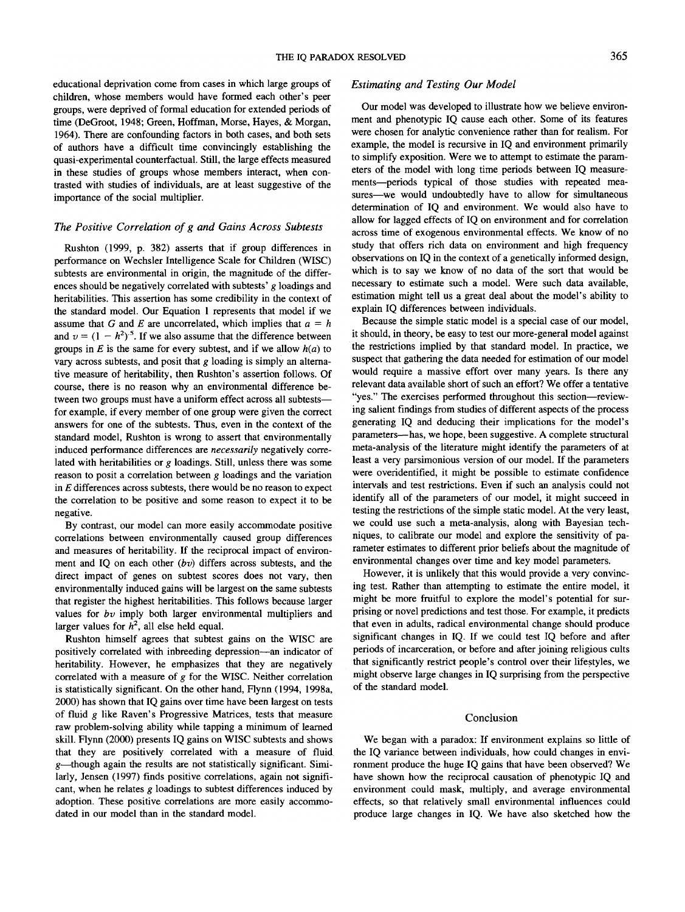educational deprivation come from cases in which large groups of children, whose members would have formed each other's peer groups, were deprived of formal education for extended periods of time (DeGroot, 1948; Green, Hoffman, Morse, Hayes, & Morgan, 1964). There are confounding factors in both cases, and both sets of authors have a difficult time convincingly establishing the quasi-experimental counterfactual. Still, the large effects measured in these studies of groups whose members interact, when contrasted with studies of individuals, are at least suggestive of the importance of the social multiplier.

# *The Positive Correlation of g and Gains Across Subtexts*

Rushton (1999, p. 382) asserts that if group differences in performance on Wechsler Intelligence Scale for Children (WISC) subtests are environmental in origin, the magnitude of the differences should be negatively correlated with subtests' *g* loadings and heritabilities. This assertion has some credibility in the context of the standard model. Our Equation 1 represents that model if we assume that G and E are uncorrelated, which implies that  $a = h$ and  $v = (1 - h^2)^{5}$ . If we also assume that the difference between groups in *E* is the same for every subtest, and if we allow *h(a)* to vary across subtests, and posit that  $g$  loading is simply an alternative measure of heritability, then Rushton's assertion follows. Of course, there is no reason why an environmental difference between two groups must have a uniform effect across all subtests for example, if every member of one group were given the correct answers for one of the subtests. Thus, even in the context of the standard model, Rushton is wrong to assert that environmentally induced performance differences are *necessarily* negatively correlated with heritabilities or *g* loadings. Still, unless there was some reason to posit a correlation between *g* loadings and the variation in *E* differences across subtests, there would be no reason to expect the correlation to be positive and some reason to expect it to be negative.

By contrast, our model can more easily accommodate positive correlations between environmentally caused group differences and measures of heritability. If the reciprocal impact of environment and IQ on each other *(bv)* differs across subtests, and the direct impact of genes on subtest scores does not vary, then environmentally induced gains will be largest on the same subtests that register the highest heritabilities. This follows because larger values for *bv* imply both larger environmental multipliers and larger values for  $\hat{h}^2$ , all else held equal.

Rushton himself agrees that subtest gains on the WISC are positively correlated with inbreeding depression—an indicator of heritability. However, he emphasizes that they are negatively correlated with a measure of *g* for the WISC. Neither correlation is statistically significant. On the other hand, Flynn (1994, 1998a, 2000) has shown that IQ gains over time have been largest on tests of fluid g like Raven's Progressive Matrices, tests that measure raw problem-solving ability while tapping a minimum of learned skill. Flynn (2000) presents IQ gains on WISC subtests and shows that they are positively correlated with a measure of fluid g—though again the results are not statistically significant. Similarly, Jensen (1997) finds positive correlations, again not significant, when he relates  $g$  loadings to subtest differences induced by adoption. These positive correlations are more easily accommodated in our model than in the standard model.

### *Estimating and Testing Our Model*

Our model was developed to illustrate how we believe environment and phenotypic IQ cause each other. Some of its features were chosen for analytic convenience rather than for realism. For example, the model is recursive in IQ and environment primarily to simplify exposition. Were we to attempt to estimate the parameters of the model with long time periods between IQ measurements—periods typical of those studies with repeated measures—we would undoubtedly have to allow for simultaneous determination of IQ and environment. We would also have to allow for lagged effects of IQ on environment and for correlation across time of exogenous environmental effects. We know of no study that offers rich data on environment and high frequency observations on IQ in the context of a genetically informed design, which is to say we know of no data of the sort that would be necessary to estimate such a model. Were such data available, estimation might tell us a great deal about the model's ability to explain IQ differences between individuals.

Because the simple static model is a special case of our model, it should, in theory, be easy to test our more-general model against the restrictions implied by that standard model. In practice, we suspect that gathering the data needed for estimation of our model would require a massive effort over many years. Is there any relevant data available short of such an effort? We offer a tentative "yes." The exercises performed throughout this section—reviewing salient findings from studies of different aspects of the process generating IQ and deducing their implications for the model's parameters—has, we hope, been suggestive. A complete structural meta-analysis of the literature might identify the parameters of at least a very parsimonious version of our model. If the parameters were overidentified, it might be possible to estimate confidence intervals and test restrictions. Even if such an analysis could not identify all of the parameters of our model, it might succeed in testing the restrictions of the simple static model. At the very least, we could use such a meta-analysis, along with Bayesian techniques, to calibrate our model and explore the sensitivity of parameter estimates to different prior beliefs about the magnitude of environmental changes over time and key model parameters.

However, it is unlikely that this would provide a very convincing test. Rather than attempting to estimate the entire model, it might be more fruitful to explore the model's potential for surprising or novel predictions and test those. For example, it predicts that even in adults, radical environmental change should produce significant changes in IQ. If we could test IQ before and after periods of incarceration, or before and after joining religious cults that significantly restrict people's control over their lifestyles, we might observe large changes in IQ surprising from the perspective of the standard model.

# Conclusion

We began with a paradox: If environment explains so little of the IQ variance between individuals, how could changes in environment produce the huge IQ gains that have been observed? We have shown how the reciprocal causation of phenotypic IQ and environment could mask, multiply, and average environmental effects, so that relatively small environmental influences could produce large changes in IQ. We have also sketched how the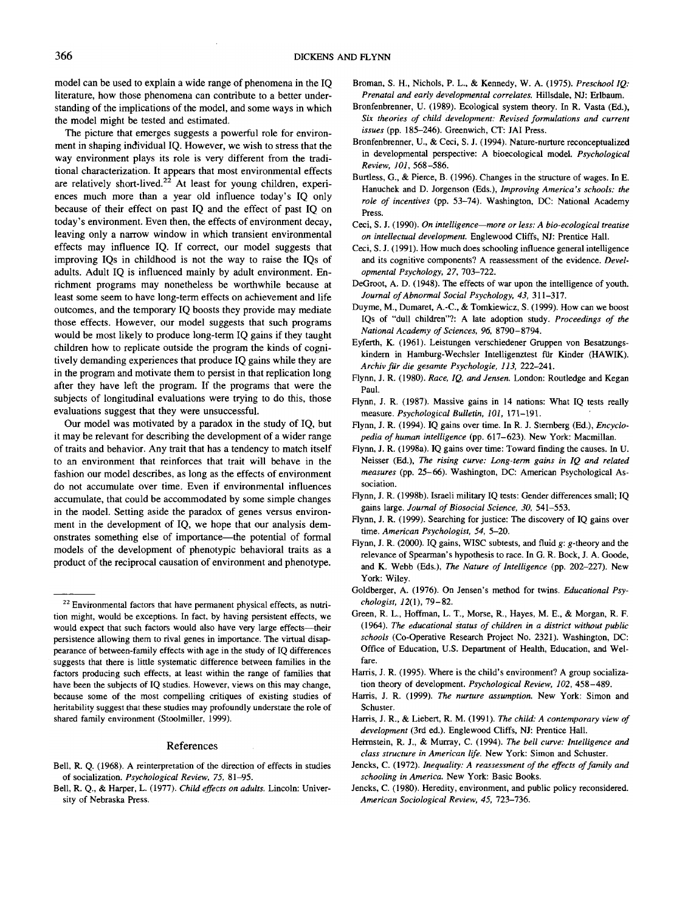model can be used to explain a wide range of phenomena in the IQ literature, how those phenomena can contribute to a better understanding of the implications of the model, and some ways in which the model might be tested and estimated.

The picture that emerges suggests a powerful role for environment in shaping individual IQ. However, we wish to stress that the way environment plays its role is very different from the traditional characterization. It appears that most environmental effects are relatively short-lived.<sup>22</sup> At least for young children, experiences much more than a year old influence today's IQ only because of their effect on past IQ and the effect of past IQ on today's environment. Even then, the effects of environment decay, leaving only a narrow window in which transient environmental effects may influence IQ. If correct, our model suggests that improving IQs in childhood is not the way to raise the IQs of adults. Adult IQ is influenced mainly by adult environment. Enrichment programs may nonetheless be worthwhile because at least some seem to have long-term effects on achievement and life outcomes, and the temporary IQ boosts they provide may mediate those effects. However, our model suggests that such programs would be most likely to produce long-term IQ gains if they taught children how to replicate outside the program the kinds of cognitively demanding experiences that produce IQ gains while they are in the program and motivate them to persist in that replication long after they have left the program. If the programs that were the subjects of longitudinal evaluations were trying to do this, those evaluations suggest that they were unsuccessful.

Our model was motivated by a paradox in the study of IQ, but it may be relevant for describing the development of a wider range of traits and behavior. Any trait that has a tendency to match itself to an environment that reinforces that trait will behave in the fashion our model describes, as long as the effects of environment do not accumulate over time. Even if environmental influences accumulate, that could be accommodated by some simple changes in the model. Setting aside the paradox of genes versus environment in the development of IQ, we hope that our analysis demonstrates something else of importance—the potential of formal models of the development of phenotypic behavioral traits as a product of the reciprocal causation of environment and phenotype.

### References

- Bell, R. Q. (1968). A reinterpretation of the direction of effects in studies of socialization. *Psychological Review, 75,* 81-95.
- Bell, R. Q., & Harper, L. (1977). *Child effects on adults.* Lincoln: University of Nebraska Press.
- Broman, S. H., Nichols, P. L., & Kennedy, W. A. (1975). *Preschool IQ: Prenatal and early developmental correlates.* Hillsdale, NJ: Erlbaum.
- Bronfenbrenner, U. (1989). Ecological system theory. In R. Vasta (Ed.), *Six theories of child development: Revised formulations and current issues* (pp. 185-246). Greenwich, CT: JAI Press.
- Bronfenbrenner, U., & Ceci, S. J. (1994). Nature-nurture reconceptualized in developmental perspective: A bioecological model. *Psychological Review, 101,* 568-586.
- Burtless, G., & Pierce, B. (1996). Changes in the structure of wages. In E. Hanuchek and D. Jorgenson (Eds.), *Improving America's schools: the role of incentives* (pp. 53-74). Washington, DC: National Academy Press.
- Ceci, S. J. (1990). *On intelligence*—*more or less: A bio-ecological treatise on intellectual development.* Englewood Cliffs, NJ: Prentice Hall.
- Ceci, S. J. (1991). How much does schooling influence general intelligence and its cognitive components? A reassessment of the evidence. *Developmental Psychology, 27,* 703-722.
- DeGroot, A. D. (1948). The effects of war upon the intelligence of youth. *Journal of Abnormal Social Psychology, 43,* 311-317.
- Duyme, M, Dumaret, A.-C., & Tomkiewicz, S. (1999). How can we boost IQs of "dull children"?: A late adoption study. *Proceedings of the National Academy of Sciences, 96,* 8790-8794.
- Eyferth, K. (1961). Leistungen verschiedener Gruppen von Besatzungskindern in Hamburg-Wechsler Intelligenztest fur Kinder (HAWIK). *Archiv fur die gesamte Psychologic, 113,* 222-241.
- Flynn, J. R. (1980). *Race, IQ, and Jensen.* London: Routledge and Kegan Paul.
- Flynn, J. R. (1987). Massive gains in 14 nations: What IQ tests really measure. *Psychological Bulletin, 101,* 171-191.
- Flynn, J. R. (1994). IQ gains over time. In R. J. Sternberg (Ed.), *Encyclopedia of human intelligence* (pp. 617-623). New York: Macmillan.
- Flynn, J. R. (1998a). IQ gains over time: Toward finding the causes. In U. Neisser (Ed.), *The rising curve: Long-term gains in IQ and related measures* (pp. 25-66). Washington, DC: American Psychological Association.
- Flynn, J. R. (1998b). Israeli military IQ tests: Gender differences small; IQ gains large. Journal of Biosocial Science, 30, 541-553.
- Flynn, J. R. (1999). Searching for justice: The discovery of IQ gains over time. *American Psychologist, 54,* 5—20.
- Flynn, J. R. (2000). IQ gains, WISC subtests, and fluid *g:* g-theory and the relevance of Spearman's hypothesis to race. In G. R. Bock, J. A. Goode, and K. Webb (Eds.), *The Nature of Intelligence* (pp. 202-227). New York: Wiley.
- Goldberger, A. (1976). On Jensen's method for twins. *Educational Psychologist, 12(\\* 79-82.
- Green, R. L., Hoffman, L. T., Morse, R., Hayes, M. E., & Morgan, R. F. (1964). *The educational status of children in a district without public schools* (Co-Operative Research Project No. 2321). Washington, DC: Office of Education, U.S. Department of Health, Education, and Welfare.
- Harris, J. R. (1995). Where is the child's environment? A group socialization theory of development. *Psychological Review, 102,* 458-489.
- Harris, J. R. (1999). *The nurture assumption.* New York: Simon and Schuster.
- Harris, J. R., & Liebert, R. M. (1991). *The child: A contemporary view of development* (3rd ed.). Englewood Cliffs, NJ: Prentice Hall.
- Heimstein, R. J., & Murray, C. (1994). *The bell curve: Intelligence and class structure in American life.* New York: Simon and Schuster.
- Jencks, C. (1972). *Inequality: A reassessment of the effects of family and schooling in America.* New York: Basic Books.
- Jencks, C. (1980). Heredity, environment, and public policy reconsidered. *American Sociological Review, 45,* 723—736.

 $22$  Environmental factors that have permanent physical effects, as nutrition might, would be exceptions. In fact, by having persistent effects, we would expect that such factors would also have very large effects—their persistence allowing them to rival genes in importance. The virtual disappearance of between-family effects with age in the study of IQ differences suggests that there is little systematic difference between families in the factors producing such effects, at least within the range of families that have been the subjects of IQ studies. However, views on this may change, because some of the most compelling critiques of existing studies of heritability suggest that these studies may profoundly understate the role of shared family environment (Stoolmiller, 1999).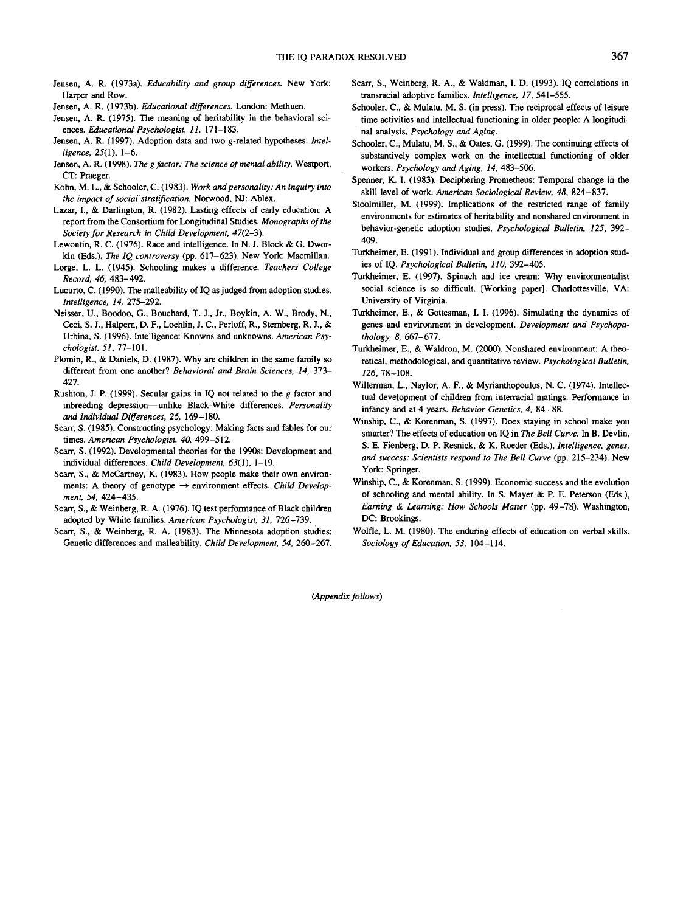Jensen, A. R. (1973a). *Educability and group differences.* New York: Harper and Row.

- Jensen, A. R. (1973b). *Educational differences.* London: Methuen.
- Jensen, A. R. (1975). The meaning of heritability in the behavioral sciences. *Educational Psychologist, 11,* 171-183.
- Jensen, A. R. (1997). Adoption data and two g-related hypotheses. *Intelligence,* 25(1), 1-6.
- Jensen, A. R. (1998). *The g factor: The science of mental ability.* Westport, CT: Praeger.
- Kohn, M. L., & Schooler, C. (1983). *Work and personality: An inquiry into the impact of social stratification.* Norwood, NJ: Ablex.
- Lazar, I., & Darlington, R. (1982). Lasting effects of early education: A report from the Consortium for Longitudinal Studies. *Monographs of the Society for Research in Child Development, 47(2-3).*
- Lewontin, R. C. (1976). Race and intelligence. In N. J. Block & G. Dworkin (Eds.), *The IQ controversy* (pp. 617-623). New York: Macmillan.
- Lorge, L. L. (1945). Schooling makes a difference. *Teachers College Record, 46,* 483-492.
- Lucurto, C. (1990). The malleability of IQ as judged from adoption studies. *Intelligence, 14,* 275-292.
- Neisser, U., Boodoo, G., Bouchard, T. J., Jr., Boykin, A. W., Brody, N., Ceci, S. J., Halpern, D. F., Loehlin, J. C., Perloff, R., Sternberg, R. J., & Urbina, S. (1996). Intelligence: Knowns and unknowns. *American Psychologist, 51,* 77-101.
- Plomin, R., & Daniels, D. (1987). Why are children in the same family so different from one another? *Behavioral and Brain Sciences, 14,* 373- 427.
- Rushton, J. P. (1999). Secular gains in IQ not related to the g factor and inbreeding depression—unlike Black-White differences. *Personality and Individual Differences, 26,* 169-180.
- Scarr, S. (1985). Constructing psychology: Making facts and fables for our times. *American Psychologist, 40,* 499-512.
- Scarr, S. (1992). Developmental theories for the 1990s: Development and individual differences. *Child Development, 63(1),* 1-19.
- Scarr, S., & McCartney, K. (1983). How people make their own environments: A theory of genotype —» environment effects. *Child Development, 54,* 424-435.
- Scarr, S., & Weinberg, R. A. (1976). IQ test performance of Black children adopted by White families. *American Psychologist, 31,* 726-739.
- Scarr, S., & Weinberg, R. A. (1983). The Minnesota adoption studies: Genetic differences and malleability. *Child Development, 54,* 260-267.
- Scarr, S., Weinberg, R. A., *&* Waldman, I. D. (1993). IQ correlations in transracial adoptive families. *Intelligence, 17,* 541-555.
- Schooler, C., & Mulatu, M. S. (in press). The reciprocal effects of leisure time activities and intellectual functioning in older people: A longitudinal analysis. *Psychology and Aging.*
- Schooler, C., Mulatu, M. S., & Dates, G. (1999). The continuing effects of substantively complex work on the intellectual functioning of older workers. *Psychology and Aging, 14,* 483-506.
- Spenner, K. I. (1983). Deciphering Prometheus: Temporal change in the skill level of work. *American Sociological Review, 48,* 824-837.
- Stoolmiller, M. (1999). Implications of the restricted range of family environments for estimates of heritability and nonshared environment in behavior-genetic adoption studies. *Psychological Bulletin, 125,* 392- 409.
- Turkheimer, E. (1991). Individual and group differences in adoption studies of IQ. *Psychological Bulletin, 110,* 392-405.
- Turkheimer, E. (1997). Spinach and ice cream: Why environmentalist social science is so difficult. [Working paper). Charlottesville, VA: University of Virginia.
- Turkheimer, E., & Gottesman, I. I. (1996). Simulating the dynamics of genes and environment in development. *Development and Psychopathology, 8,* 667-677.
- Turkheimer, E., & Waldron, M. (2000). Nonshared environment: A theoretical, methodological, and quantitative review. *Psychological Bulletin, 126,* 78-108.
- Willerman, L., Naylor, A. F., & Myrianthopoulos, N. C. (1974). Intellectual development of children from interracial matings: Performance in infancy and at 4 years. *Behavior Genetics, 4,* 84-88.
- Winship, C., & Korenman, S. (1997). Does staying in school make you smarter? The effects of education on IQ in *The Bell Curve.* In B. Devlin, S. E. Fienberg, D. P. Resnick, & K. Roeder (Eds.), *Intelligence, genes, and success: Scientists respond to The Bell Curve* (pp. 215-234). New York: Springer.
- Winship, C., & Korenman, S. (1999). Economic success and the evolution of schooling and mental ability. In S. Mayer & P. E. Peterson (Eds.), *Earning & Learning: How Schools Matter* (pp. 49—78). Washington, DC: Brookings.
- Wolfle, L. M. (1980). The enduring effects of education on verbal skills. *Sociology of Education, 53,* 104-114.

*(Appendix follows)*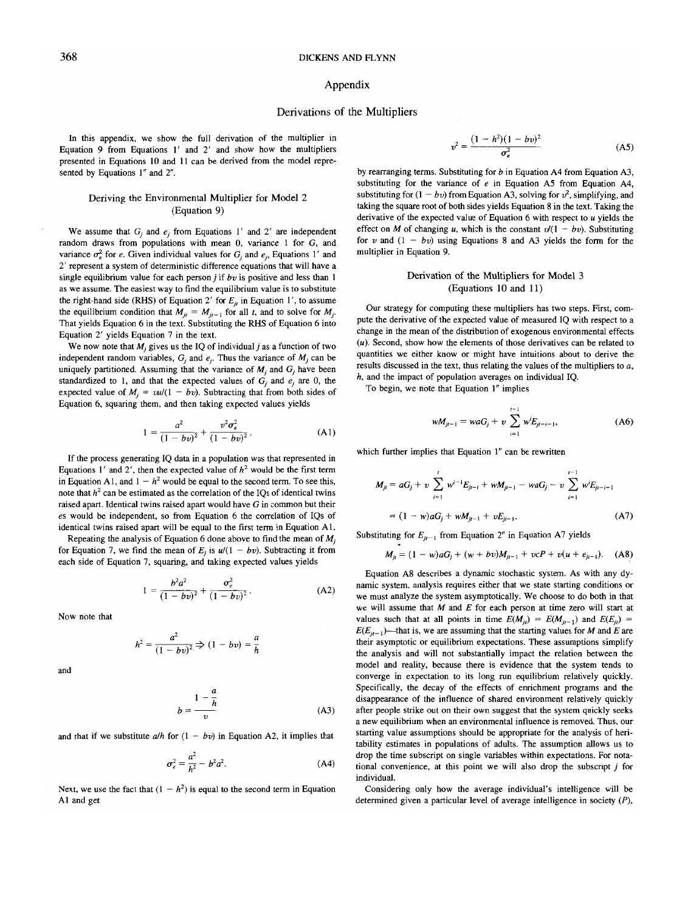#### Appendix

### Derivations of the Multipliers

In this appendix, we show the full derivation of the multiplier in Equation 9 from Equations 1' and 2' and show how the multipliers presented in Equations 10 and 11 can be derived from the model represented by Equations 1" and 2".

### Deriving the Environmental Multiplier for Model 2 (Equation 9)

We assume that  $G_i$  and  $e_j$  from Equations 1' and 2' are independent random draws from populations with mean 0, variance 1 for G, and variance  $\sigma_e^2$  for *e*. Given individual values for  $G_i$  and  $e_i$ , Equations 1' and 2' represent a system of deterministic difference equations that will have a single equilibrium value for each person  $j$  if  $bv$  is positive and less than 1 as we assume. The easiest way to find the equilibrium value is to substitute the right-hand side (RHS) of Equation 2' for  $E<sub>i</sub>$  in Equation 1', to assume the equilibrium condition that  $M_{jt} = M_{jt-1}$  for all *t*, and to solve for  $M_j$ . That yields Equation 6 in the text. Substituting the RHS of Equation 6 into Equation 2' yields Equation 7 in the text.

We now note that  $M_i$  gives us the IQ of individual *j* as a function of two independent random variables,  $G_i$  and  $e_i$ . Thus the variance of  $M_i$  can be uniquely partitioned. Assuming that the variance of  $M_j$  and  $G_j$  have been standardized to 1, and that the expected values of  $G_i$  and  $e_i$  are 0, the expected value of  $M_i = \nu u/(1 - bv)$ . Subtracting that from both sides of Equation 6, squaring them, and then taking expected values yields

$$
1 = \frac{a^2}{(1 - bv)^2} + \frac{v^2 \sigma_e^2}{(1 - bv)^2}.
$$
 (A1)

If the process generating IQ data in a population was that represented in Equations 1' and 2', then the expected value of  $h^2$  would be the first term in Equation A1, and  $1 - h^2$  would be equal to the second term. To see this, note that  $h^2$  can be estimated as the correlation of the IQs of identical twins raised apart. Identical twins raised apart would have  $G$  in common but their *es* would be independent, so from Equation 6 the correlation of IQs of identical twins raised apart will be equal to the first term in Equation Al.

Repeating the analysis of Equation 6 done above to find the mean of *Mj* for Equation 7, we find the mean of  $E_i$ , is  $u/(1 - bv)$ . Subtracting it from each side of Equation 7, squaring, and taking expected values yields

$$
1 = \frac{b^2 a^2}{(1 - bv)^2} + \frac{\sigma_e^2}{(1 - bv)^2}.
$$
 (A2)

Now note that

 $h^2 = \frac{a^2}{(1 - bv)^2} \Rightarrow (1 - bv) = \frac{a}{h}$ 

and

$$
b = \frac{1 - \frac{a}{h}}{v}
$$
 (A3)

and that if we substitute  $a/h$  for  $(1 - bv)$  in Equation A2, it implies that

$$
\sigma_e^2 = \frac{a^2}{h^2} - b^2 a^2.
$$
 (A4)

Next, we use the fact that  $(1 - h^2)$  is equal to the second term in Equation Al and get

$$
v^2 = \frac{(1 - h^2)(1 - bv)^2}{\sigma_z^2}
$$
 (A5)

by rearranging terms. Substituting for *b* in Equation A4 from Equation A3, substituting for the variance of *e* in Equation A5 from Equation A4, substituting for  $(1 - bv)$  from Equation A3, solving for  $v^2$ , simplifying, and taking the square root of both sides yields Equation 8 in the text. Taking the derivative of the expected value of Equation 6 with respect to  $u$  yields the effect on *M* of changing *u*, which is the constant  $v/(1 - bv)$ . Substituting for *v* and  $(1 - bv)$  using Equations 8 and A3 yields the form for the multiplier in Equation 9.

# Derivation of the Multipliers for Model 3 (Equations 10 and 11)

Our strategy for computing these multipliers has two steps. First, compute the derivative of the expected value of measured IQ with respect to a change in the mean of the distribution of exogenous environmental effects  $(u)$ . Second, show how the elements of those derivatives can be related to quantities we either know or might have intuitions about to derive the results discussed in the text, thus relating the values of the multipliers to *a, h,* and the impact of population averages on individual IQ.

To begin, we note that Equation 1" implies

$$
wM_{ji-1} = waG_j + v \sum_{i=1}^{t-1} w^i E_{ji-i-1},
$$
 (A6)

which further implies that Equation 1" can be rewritten

$$
M_{ji} = aG_j + v \sum_{i=1}^{t} w^{i-1} E_{ji-i} + wM_{ji-1} - waG_j - v \sum_{i=1}^{t-1} w^{i} E_{ji-i-1}
$$
  
=  $(1 - w)aG_j + wM_{ji-1} + vE_{ji-1}$ . (A7)

Substituting for  $E_{j_1-j}$  from Equation 2" in Equation A7 yields

$$
M_{jt} = (1 - w)aG_j + (w + bv)M_{jt-1} + vcP + v(u + e_{jt-1}).
$$
 (A8)

Equation AS describes a dynamic stochastic system. As with any dynamic system, analysis requires either that we state starting conditions or we must analyze the system asymptotically. We choose to do both in that we will assume that *M* and *E* for each person at time zero will start at values such that at all points in time  $E(M_{ij}) = E(M_{ij-1})$  and  $E(E_{ij}) =$  $E(E_{j-1})$ —that is, we are assuming that the starting values for *M* and *E* are their asymptotic or equilibrium expectations. These assumptions simplify the analysis and will not substantially impact the relation between the model and reality, because there is evidence that the system tends to converge in expectation to its long run equilibrium relatively quickly. Specifically, the decay of the effects of enrichment programs and the disappearance of the influence of shared environment relatively quickly after people strike out on their own suggest that the system quickly seeks a new equilibrium when an environmental influence is removed. Thus, our starting value assumptions should be appropriate for the analysis of heritability estimates in populations of adults. The assumption allows us to drop the time subscript on single variables within expectations. For notational convenience, at this point we will also drop the subscript *j* for individual.

Considering only how the average individual's intelligence will be determined given a particular level of average intelligence in society *(P),*